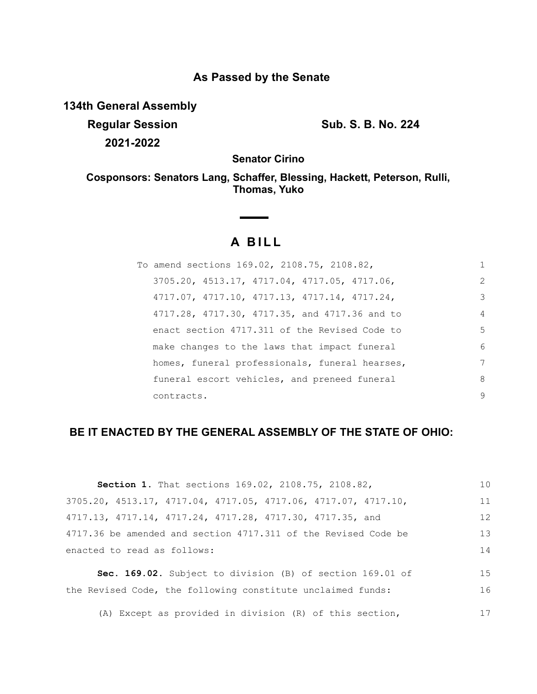# **As Passed by the Senate**

**134th General Assembly**

**Regular Session Sub. S. B. No. 224 2021-2022**

**Senator Cirino**

**Cosponsors: Senators Lang, Schaffer, Blessing, Hackett, Peterson, Rulli, Thomas, Yuko**

# **A BILL**

| To amend sections 169.02, 2108.75, 2108.82,    | 1              |
|------------------------------------------------|----------------|
| 3705.20, 4513.17, 4717.04, 4717.05, 4717.06,   | 2              |
| 4717.07, 4717.10, 4717.13, 4717.14, 4717.24,   | 3              |
| 4717.28, 4717.30, 4717.35, and 4717.36 and to  | $\overline{4}$ |
| enact section 4717.311 of the Revised Code to  | 5              |
| make changes to the laws that impact funeral   | 6              |
| homes, funeral professionals, funeral hearses, | 7              |
| funeral escort vehicles, and preneed funeral   | 8              |
| contracts.                                     | 9              |

# **BE IT ENACTED BY THE GENERAL ASSEMBLY OF THE STATE OF OHIO:**

| <b>Section 1.</b> That sections 169.02, 2108.75, 2108.82,                           | 10 |
|-------------------------------------------------------------------------------------|----|
| $3705.20$ , $4513.17$ , $4717.04$ , $4717.05$ , $4717.06$ , $4717.07$ , $4717.10$ , | 11 |
| 4717.13, 4717.14, 4717.24, 4717.28, 4717.30, 4717.35, and                           | 12 |
| 4717.36 be amended and section 4717.311 of the Revised Code be                      | 13 |
| enacted to read as follows:                                                         | 14 |
| Sec. 169.02. Subject to division (B) of section 169.01 of                           | 15 |
|                                                                                     |    |
| the Revised Code, the following constitute unclaimed funds:                         | 16 |
|                                                                                     |    |

(A) Except as provided in division (R) of this section, 17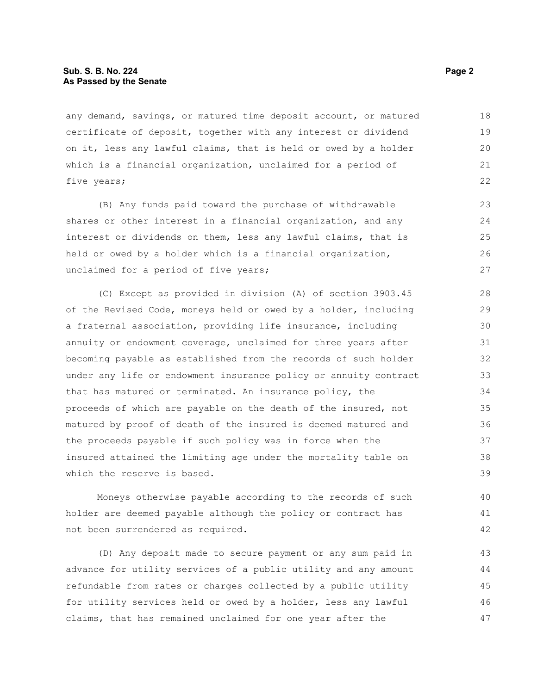#### **Sub. S. B. No. 224 Page 2 Page 2 As Passed by the Senate**

any demand, savings, or matured time deposit account, or matured certificate of deposit, together with any interest or dividend on it, less any lawful claims, that is held or owed by a holder which is a financial organization, unclaimed for a period of five years; 18 19 20 21 22

(B) Any funds paid toward the purchase of withdrawable shares or other interest in a financial organization, and any interest or dividends on them, less any lawful claims, that is held or owed by a holder which is a financial organization, unclaimed for a period of five years;

(C) Except as provided in division (A) of section 3903.45 of the Revised Code, moneys held or owed by a holder, including a fraternal association, providing life insurance, including annuity or endowment coverage, unclaimed for three years after becoming payable as established from the records of such holder under any life or endowment insurance policy or annuity contract that has matured or terminated. An insurance policy, the proceeds of which are payable on the death of the insured, not matured by proof of death of the insured is deemed matured and the proceeds payable if such policy was in force when the insured attained the limiting age under the mortality table on which the reserve is based.

Moneys otherwise payable according to the records of such holder are deemed payable although the policy or contract has not been surrendered as required.

(D) Any deposit made to secure payment or any sum paid in advance for utility services of a public utility and any amount refundable from rates or charges collected by a public utility for utility services held or owed by a holder, less any lawful claims, that has remained unclaimed for one year after the

40 41 42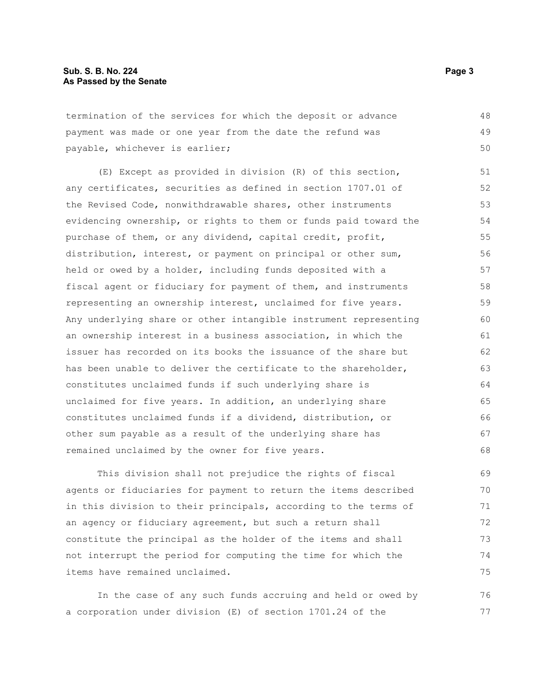termination of the services for which the deposit or advance payment was made or one year from the date the refund was payable, whichever is earlier; 48 49 50

(E) Except as provided in division (R) of this section, any certificates, securities as defined in section 1707.01 of the Revised Code, nonwithdrawable shares, other instruments evidencing ownership, or rights to them or funds paid toward the purchase of them, or any dividend, capital credit, profit, distribution, interest, or payment on principal or other sum, held or owed by a holder, including funds deposited with a fiscal agent or fiduciary for payment of them, and instruments representing an ownership interest, unclaimed for five years. Any underlying share or other intangible instrument representing an ownership interest in a business association, in which the issuer has recorded on its books the issuance of the share but has been unable to deliver the certificate to the shareholder, constitutes unclaimed funds if such underlying share is unclaimed for five years. In addition, an underlying share constitutes unclaimed funds if a dividend, distribution, or other sum payable as a result of the underlying share has remained unclaimed by the owner for five years. 51 52 53 54 55 56 57 58 59 60 61 62 63 64 65 66 67 68

This division shall not prejudice the rights of fiscal agents or fiduciaries for payment to return the items described in this division to their principals, according to the terms of an agency or fiduciary agreement, but such a return shall constitute the principal as the holder of the items and shall not interrupt the period for computing the time for which the items have remained unclaimed. 69 70 71 72 73 74 75

In the case of any such funds accruing and held or owed by a corporation under division (E) of section 1701.24 of the 76 77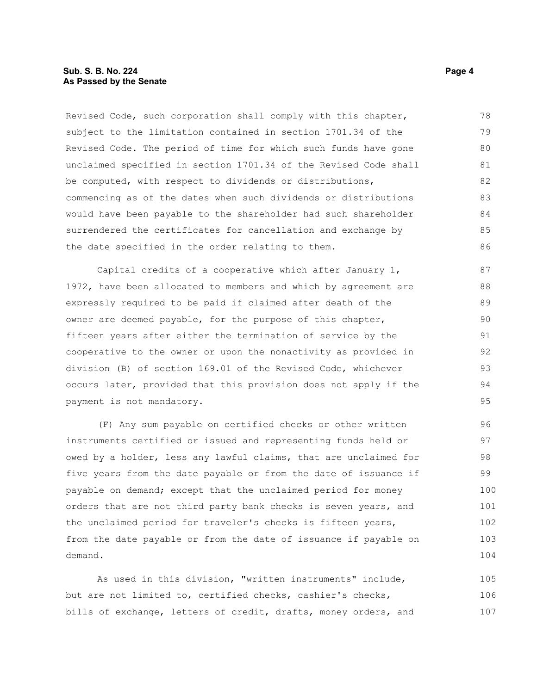#### **Sub. S. B. No. 224 Page 4 Page 4 Page 4 Page 4 Page 4 Page 4 Page 4 Page 4 As Passed by the Senate**

Revised Code, such corporation shall comply with this chapter, subject to the limitation contained in section 1701.34 of the Revised Code. The period of time for which such funds have gone unclaimed specified in section 1701.34 of the Revised Code shall be computed, with respect to dividends or distributions, commencing as of the dates when such dividends or distributions would have been payable to the shareholder had such shareholder surrendered the certificates for cancellation and exchange by the date specified in the order relating to them. 78 79 80 81 82 83 84 85 86

Capital credits of a cooperative which after January 1, 1972, have been allocated to members and which by agreement are expressly required to be paid if claimed after death of the owner are deemed payable, for the purpose of this chapter, fifteen years after either the termination of service by the cooperative to the owner or upon the nonactivity as provided in division (B) of section 169.01 of the Revised Code, whichever occurs later, provided that this provision does not apply if the payment is not mandatory.

(F) Any sum payable on certified checks or other written instruments certified or issued and representing funds held or owed by a holder, less any lawful claims, that are unclaimed for five years from the date payable or from the date of issuance if payable on demand; except that the unclaimed period for money orders that are not third party bank checks is seven years, and the unclaimed period for traveler's checks is fifteen years, from the date payable or from the date of issuance if payable on demand. 96 97 98 99 100 101 102 103 104

As used in this division, "written instruments" include, but are not limited to, certified checks, cashier's checks, bills of exchange, letters of credit, drafts, money orders, and 105 106 107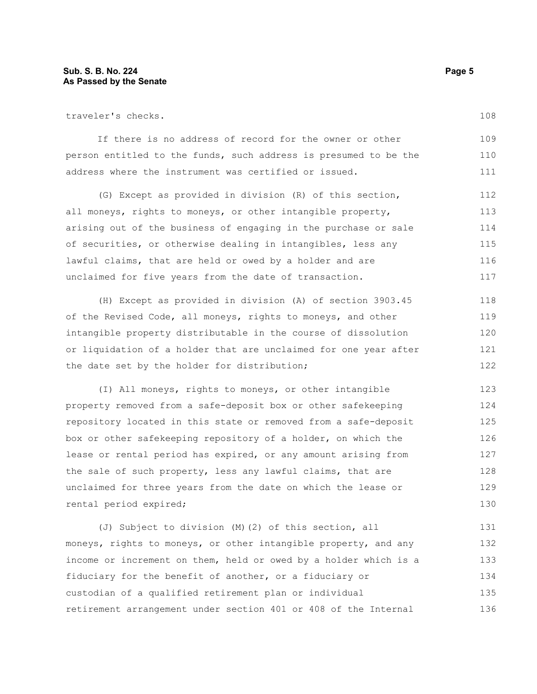#### **Sub. S. B. No. 224 Page 5 As Passed by the Senate**

traveler's checks.

If there is no address of record for the owner or other person entitled to the funds, such address is presumed to be the address where the instrument was certified or issued. 109 110 111

(G) Except as provided in division (R) of this section, all moneys, rights to moneys, or other intangible property, arising out of the business of engaging in the purchase or sale of securities, or otherwise dealing in intangibles, less any lawful claims, that are held or owed by a holder and are unclaimed for five years from the date of transaction. 112 113 114 115 116 117

(H) Except as provided in division (A) of section 3903.45 of the Revised Code, all moneys, rights to moneys, and other intangible property distributable in the course of dissolution or liquidation of a holder that are unclaimed for one year after the date set by the holder for distribution; 118 119 120 121 122

(I) All moneys, rights to moneys, or other intangible property removed from a safe-deposit box or other safekeeping repository located in this state or removed from a safe-deposit box or other safekeeping repository of a holder, on which the lease or rental period has expired, or any amount arising from the sale of such property, less any lawful claims, that are unclaimed for three years from the date on which the lease or rental period expired; 123 124 125 126 127 128 129 130

(J) Subject to division (M)(2) of this section, all moneys, rights to moneys, or other intangible property, and any income or increment on them, held or owed by a holder which is a fiduciary for the benefit of another, or a fiduciary or custodian of a qualified retirement plan or individual retirement arrangement under section 401 or 408 of the Internal 131 132 133 134 135 136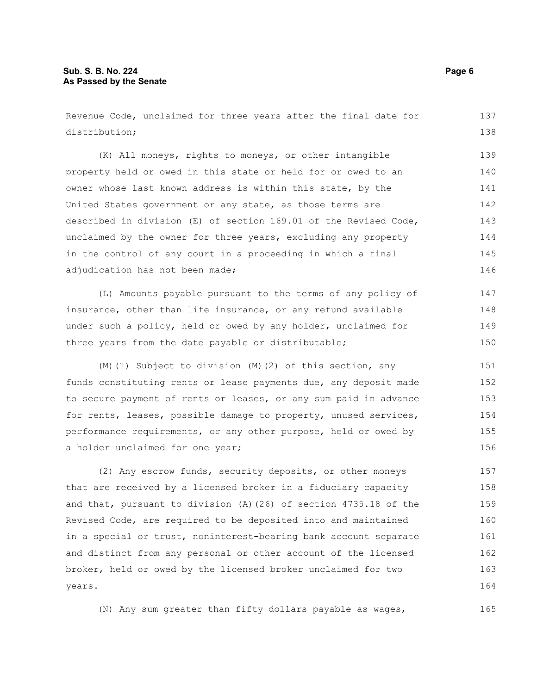### **Sub. S. B. No. 224 Page 6 As Passed by the Senate**

Revenue Code, unclaimed for three years after the final date for distribution; (K) All moneys, rights to moneys, or other intangible property held or owed in this state or held for or owed to an owner whose last known address is within this state, by the United States government or any state, as those terms are described in division (E) of section 169.01 of the Revised Code, unclaimed by the owner for three years, excluding any property in the control of any court in a proceeding in which a final adjudication has not been made; (L) Amounts payable pursuant to the terms of any policy of insurance, other than life insurance, or any refund available under such a policy, held or owed by any holder, unclaimed for three years from the date payable or distributable; 137 138 139 140 141 142 143 144 145 146 147 148 149 150

(M)(1) Subject to division (M)(2) of this section, any funds constituting rents or lease payments due, any deposit made to secure payment of rents or leases, or any sum paid in advance for rents, leases, possible damage to property, unused services, performance requirements, or any other purpose, held or owed by a holder unclaimed for one year; 151 152 153 154 155 156

(2) Any escrow funds, security deposits, or other moneys that are received by a licensed broker in a fiduciary capacity and that, pursuant to division (A)(26) of section 4735.18 of the Revised Code, are required to be deposited into and maintained in a special or trust, noninterest-bearing bank account separate and distinct from any personal or other account of the licensed broker, held or owed by the licensed broker unclaimed for two years. 157 158 159 160 161 162 163 164

(N) Any sum greater than fifty dollars payable as wages,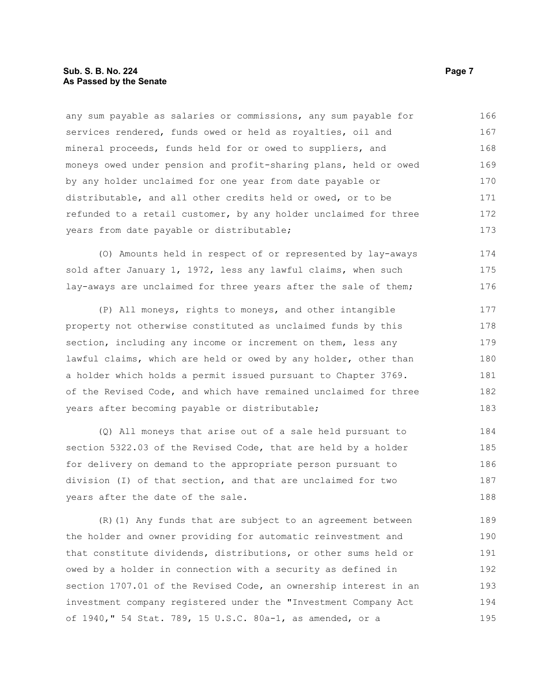#### **Sub. S. B. No. 224 Page 7 Page 7 As Passed by the Senate**

any sum payable as salaries or commissions, any sum payable for services rendered, funds owed or held as royalties, oil and mineral proceeds, funds held for or owed to suppliers, and moneys owed under pension and profit-sharing plans, held or owed by any holder unclaimed for one year from date payable or distributable, and all other credits held or owed, or to be refunded to a retail customer, by any holder unclaimed for three years from date payable or distributable; 166 167 168 169 170 171 172 173

(O) Amounts held in respect of or represented by lay-aways sold after January 1, 1972, less any lawful claims, when such lay-aways are unclaimed for three years after the sale of them; 174 175 176

(P) All moneys, rights to moneys, and other intangible property not otherwise constituted as unclaimed funds by this section, including any income or increment on them, less any lawful claims, which are held or owed by any holder, other than a holder which holds a permit issued pursuant to Chapter 3769. of the Revised Code, and which have remained unclaimed for three years after becoming payable or distributable; 177 178 179 180 181 182 183

(Q) All moneys that arise out of a sale held pursuant to section 5322.03 of the Revised Code, that are held by a holder for delivery on demand to the appropriate person pursuant to division (I) of that section, and that are unclaimed for two years after the date of the sale. 184 185 186 187 188

(R)(1) Any funds that are subject to an agreement between the holder and owner providing for automatic reinvestment and that constitute dividends, distributions, or other sums held or owed by a holder in connection with a security as defined in section 1707.01 of the Revised Code, an ownership interest in an investment company registered under the "Investment Company Act of 1940," 54 Stat. 789, 15 U.S.C. 80a-1, as amended, or a 189 190 191 192 193 194 195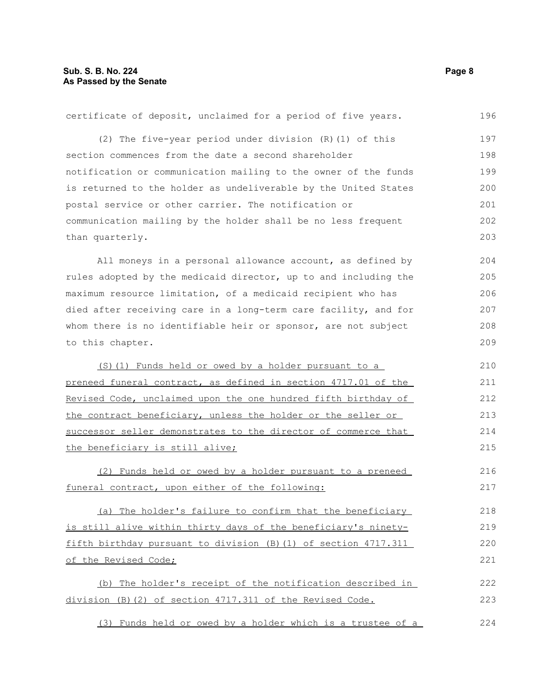| certificate of deposit, unclaimed for a period of five years.   | 196 |
|-----------------------------------------------------------------|-----|
| (2) The five-year period under division (R) (1) of this         | 197 |
| section commences from the date a second shareholder            | 198 |
| notification or communication mailing to the owner of the funds | 199 |
| is returned to the holder as undeliverable by the United States | 200 |
| postal service or other carrier. The notification or            | 201 |
| communication mailing by the holder shall be no less frequent   | 202 |
| than quarterly.                                                 | 203 |
| All moneys in a personal allowance account, as defined by       | 204 |
| rules adopted by the medicaid director, up to and including the | 205 |
| maximum resource limitation, of a medicaid recipient who has    | 206 |
| died after receiving care in a long-term care facility, and for | 207 |
| whom there is no identifiable heir or sponsor, are not subject  | 208 |
| to this chapter.                                                | 209 |
| (S) (1) Funds held or owed by a holder pursuant to a            | 210 |
| preneed funeral contract, as defined in section 4717.01 of the  | 211 |
| Revised Code, unclaimed upon the one hundred fifth birthday of  | 212 |
| the contract beneficiary, unless the holder or the seller or    | 213 |
| successor seller demonstrates to the director of commerce that  | 214 |
| the beneficiary is still alive;                                 | 215 |
| (2) Funds held or owed by a holder pursuant to a preneed        | 216 |
| funeral contract, upon either of the following:                 | 217 |
| (a) The holder's failure to confirm that the beneficiary        | 218 |
| is still alive within thirty days of the beneficiary's ninety-  | 219 |
| fifth birthday pursuant to division (B) (1) of section 4717.311 | 220 |
| of the Revised Code;                                            | 221 |
| (b) The holder's receipt of the notification described in       | 222 |
| division (B) (2) of section 4717.311 of the Revised Code.       | 223 |
| (3) Funds held or owed by a holder which is a trustee of a      | 224 |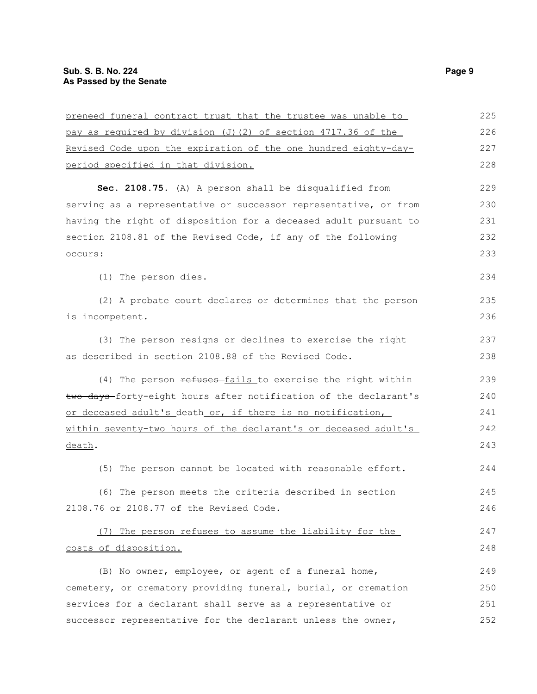| preneed funeral contract trust that the trustee was unable to    | 225 |
|------------------------------------------------------------------|-----|
| pay as required by division (J) (2) of section 4717.36 of the    | 226 |
| Revised Code upon the expiration of the one hundred eighty-day-  | 227 |
| period specified in that division.                               | 228 |
| Sec. 2108.75. (A) A person shall be disqualified from            | 229 |
| serving as a representative or successor representative, or from | 230 |
| having the right of disposition for a deceased adult pursuant to | 231 |
| section 2108.81 of the Revised Code, if any of the following     | 232 |
| occurs:                                                          | 233 |
| (1) The person dies.                                             | 234 |
| (2) A probate court declares or determines that the person       | 235 |
| is incompetent.                                                  | 236 |
| (3) The person resigns or declines to exercise the right         | 237 |
| as described in section 2108.88 of the Revised Code.             | 238 |
| (4) The person refuses fails to exercise the right within        | 239 |
| two days-forty-eight hours after notification of the declarant's | 240 |
| or deceased adult's death or, if there is no notification,       | 241 |
| within seventy-two hours of the declarant's or deceased adult's  | 242 |
| death.                                                           | 243 |
| (5) The person cannot be located with reasonable effort.         | 244 |
| (6) The person meets the criteria described in section           | 245 |
| 2108.76 or 2108.77 of the Revised Code.                          | 246 |
| (7) The person refuses to assume the liability for the           | 247 |
| costs of disposition.                                            | 248 |
| (B) No owner, employee, or agent of a funeral home,              | 249 |
| cemetery, or crematory providing funeral, burial, or cremation   | 250 |
| services for a declarant shall serve as a representative or      | 251 |
| successor representative for the declarant unless the owner,     | 252 |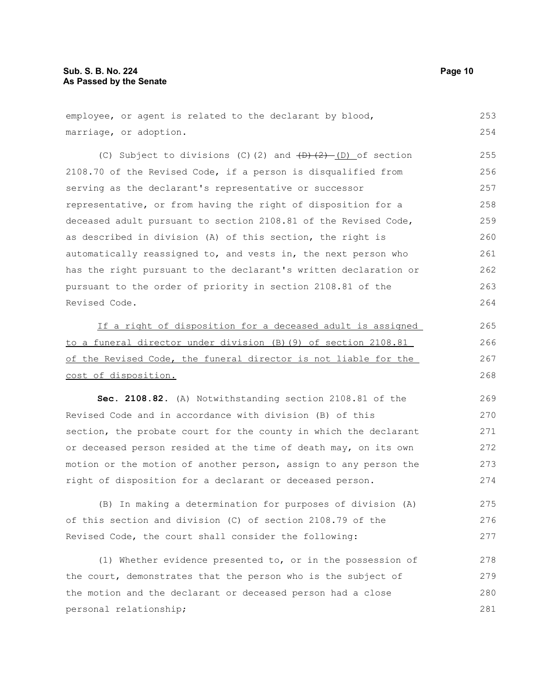(C) Subject to divisions (C)(2) and  $(D)$ (2) (D) of section 2108.70 of the Revised Code, if a person is disqualified from serving as the declarant's representative or successor representative, or from having the right of disposition for a deceased adult pursuant to section 2108.81 of the Revised Code, as described in division (A) of this section, the right is automatically reassigned to, and vests in, the next person who has the right pursuant to the declarant's written declaration or pursuant to the order of priority in section 2108.81 of the Revised Code. 255 256 257 258 259 260 261 262 263 264

If a right of disposition for a deceased adult is assigned to a funeral director under division (B)(9) of section 2108.81 of the Revised Code, the funeral director is not liable for the cost of disposition.

**Sec. 2108.82.** (A) Notwithstanding section 2108.81 of the Revised Code and in accordance with division (B) of this section, the probate court for the county in which the declarant or deceased person resided at the time of death may, on its own motion or the motion of another person, assign to any person the right of disposition for a declarant or deceased person.

(B) In making a determination for purposes of division (A) of this section and division (C) of section 2108.79 of the Revised Code, the court shall consider the following: 275 276 277

(1) Whether evidence presented to, or in the possession of the court, demonstrates that the person who is the subject of the motion and the declarant or deceased person had a close personal relationship; 278 279 280 281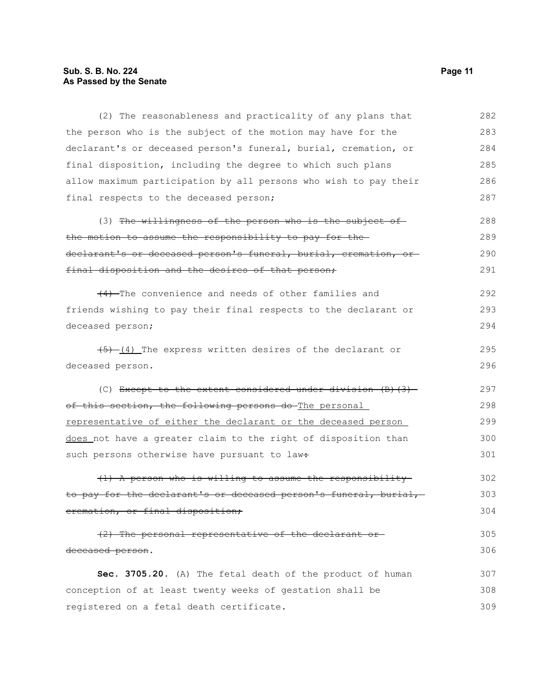# **Sub. S. B. No. 224** Page 11 **As Passed by the Senate**

| (2) The reasonableness and practicality of any plans that            | 282 |
|----------------------------------------------------------------------|-----|
| the person who is the subject of the motion may have for the         | 283 |
| declarant's or deceased person's funeral, burial, cremation, or      | 284 |
| final disposition, including the degree to which such plans          | 285 |
| allow maximum participation by all persons who wish to pay their     | 286 |
| final respects to the deceased person;                               | 287 |
| (3) The willingness of the person who is the subject of              | 288 |
| the motion to assume the responsibility to pay for the-              | 289 |
| declarant's or deceased person's funeral, burial, cremation, or-     | 290 |
| final disposition and the desires of that person;                    | 291 |
| (4) The convenience and needs of other families and                  | 292 |
| friends wishing to pay their final respects to the declarant or      | 293 |
| deceased person;                                                     | 294 |
| $(5)$ $(4)$ The express written desires of the declarant or          | 295 |
| deceased person.                                                     | 296 |
| (C) Except to the extent considered under division $(B)$ $(3)$       | 297 |
| of this section, the following persons do The personal               | 298 |
| <u>representative of either the declarant or the deceased person</u> | 299 |
| does not have a greater claim to the right of disposition than       | 300 |
| such persons otherwise have pursuant to law:                         | 301 |
| (1) A person who is willing to assume the responsibility             | 302 |
| to pay for the declarant's or deceased person's funeral, burial,     | 303 |
| eremation, or final disposition;                                     | 304 |
| (2) The personal representative of the declarant or-                 | 305 |
| deceased person.                                                     | 306 |
| Sec. 3705.20. (A) The fetal death of the product of human            | 307 |
| conception of at least twenty weeks of gestation shall be            | 308 |
| registered on a fetal death certificate.                             | 309 |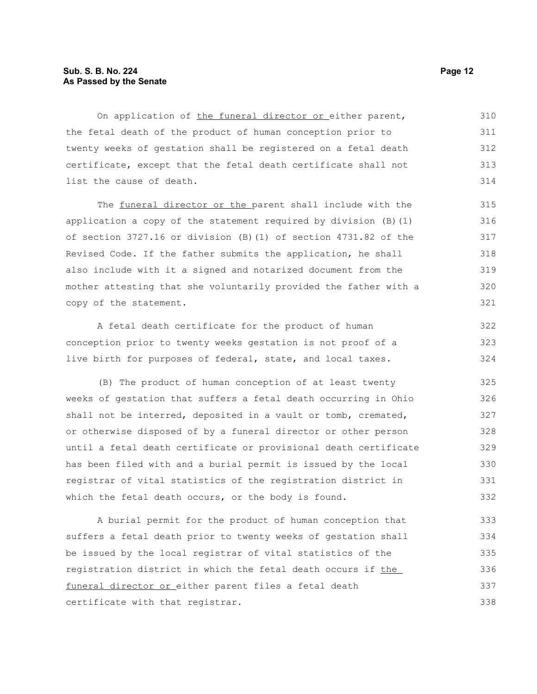#### **Sub. S. B. No. 224 Page 12 As Passed by the Senate**

On application of the funeral director or either parent, the fetal death of the product of human conception prior to twenty weeks of gestation shall be registered on a fetal death certificate, except that the fetal death certificate shall not list the cause of death. 310 311 312 313 314

The funeral director or the parent shall include with the application a copy of the statement required by division (B)(1) of section 3727.16 or division (B)(1) of section 4731.82 of the Revised Code. If the father submits the application, he shall also include with it a signed and notarized document from the mother attesting that she voluntarily provided the father with a copy of the statement.

A fetal death certificate for the product of human conception prior to twenty weeks gestation is not proof of a live birth for purposes of federal, state, and local taxes. 322 323 324

(B) The product of human conception of at least twenty weeks of gestation that suffers a fetal death occurring in Ohio shall not be interred, deposited in a vault or tomb, cremated, or otherwise disposed of by a funeral director or other person until a fetal death certificate or provisional death certificate has been filed with and a burial permit is issued by the local registrar of vital statistics of the registration district in which the fetal death occurs, or the body is found. 325 326 327 328 329 330 331 332

A burial permit for the product of human conception that suffers a fetal death prior to twenty weeks of gestation shall be issued by the local registrar of vital statistics of the registration district in which the fetal death occurs if the funeral director or either parent files a fetal death certificate with that registrar. 333 334 335 336 337 338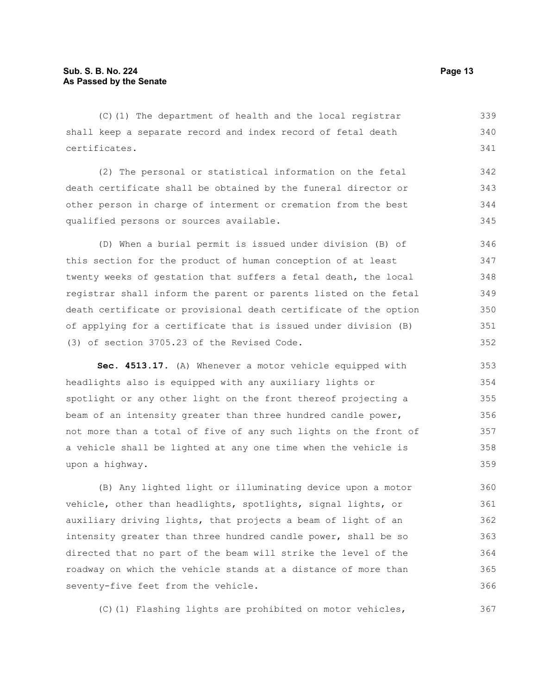(C)(1) The department of health and the local registrar shall keep a separate record and index record of fetal death certificates. 339 340 341

(2) The personal or statistical information on the fetal death certificate shall be obtained by the funeral director or other person in charge of interment or cremation from the best qualified persons or sources available. 342 343 344 345

(D) When a burial permit is issued under division (B) of this section for the product of human conception of at least twenty weeks of gestation that suffers a fetal death, the local registrar shall inform the parent or parents listed on the fetal death certificate or provisional death certificate of the option of applying for a certificate that is issued under division (B) (3) of section 3705.23 of the Revised Code. 346 347 348 349 350 351 352

**Sec. 4513.17.** (A) Whenever a motor vehicle equipped with headlights also is equipped with any auxiliary lights or spotlight or any other light on the front thereof projecting a beam of an intensity greater than three hundred candle power, not more than a total of five of any such lights on the front of a vehicle shall be lighted at any one time when the vehicle is upon a highway.

(B) Any lighted light or illuminating device upon a motor vehicle, other than headlights, spotlights, signal lights, or auxiliary driving lights, that projects a beam of light of an intensity greater than three hundred candle power, shall be so directed that no part of the beam will strike the level of the roadway on which the vehicle stands at a distance of more than seventy-five feet from the vehicle. 360 361 362 363 364 365 366

(C)(1) Flashing lights are prohibited on motor vehicles,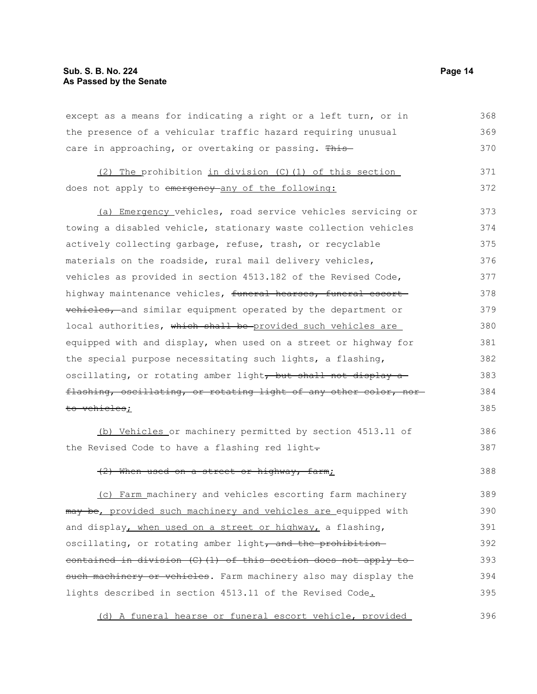#### **Sub. S. B. No. 224 Page 14 As Passed by the Senate**

except as a means for indicating a right or a left turn, or in the presence of a vehicular traffic hazard requiring unusual care in approaching, or overtaking or passing. This-368 369 370

(2) The prohibition in division (C)(1) of this section does not apply to emergency-any of the following: 371 372

(a) Emergency vehicles, road service vehicles servicing or towing a disabled vehicle, stationary waste collection vehicles actively collecting garbage, refuse, trash, or recyclable materials on the roadside, rural mail delivery vehicles, vehicles as provided in section 4513.182 of the Revised Code, highway maintenance vehicles, funeral hearses, funeral escort vehicles, and similar equipment operated by the department or local authorities, which shall be provided such vehicles are equipped with and display, when used on a street or highway for the special purpose necessitating such lights, a flashing, oscillating, or rotating amber light, but shall not display a flashing, oscillating, or rotating light of any other color, norto vehicles; 373 374 375 376 377 378 379 380 381 382 383 384 385

(b) Vehicles or machinery permitted by section 4513.11 of the Revised Code to have a flashing red light-

#### (2) When used on a street or highway, farm; 388

(c) Farm machinery and vehicles escorting farm machinery may be, provided such machinery and vehicles are equipped with and display, when used on a street or highway, a flashing, oscillating, or rotating amber light, and the prohibitioncontained in division (C)(1) of this section does not apply to such machinery or vehicles. Farm machinery also may display the lights described in section 4513.11 of the Revised Code. 389 390 391 392 393 394 395

(d) A funeral hearse or funeral escort vehicle, provided 396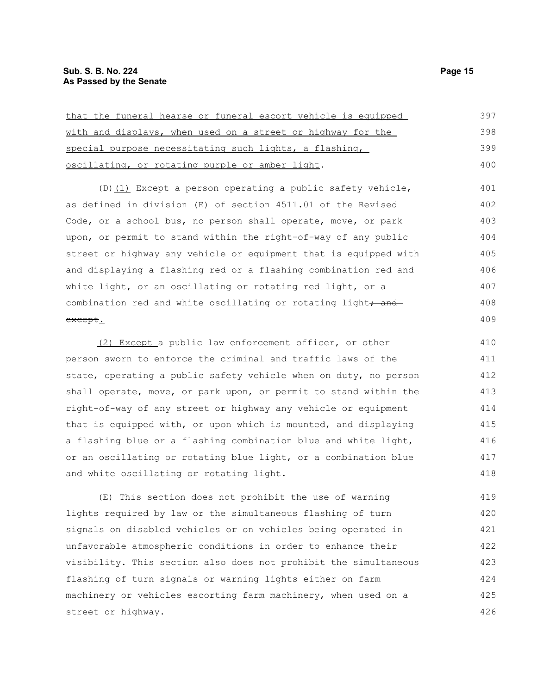| that the funeral hearse or funeral escort vehicle is equipped | 397 |
|---------------------------------------------------------------|-----|
| with and displays, when used on a street or highway for the   | 398 |
| special purpose necessitating such lights, a flashing,        | 399 |
| oscillating, or rotating purple or amber light.               | 400 |

(D) (1) Except a person operating a public safety vehicle, as defined in division (E) of section 4511.01 of the Revised Code, or a school bus, no person shall operate, move, or park upon, or permit to stand within the right-of-way of any public street or highway any vehicle or equipment that is equipped with and displaying a flashing red or a flashing combination red and white light, or an oscillating or rotating red light, or a combination red and white oscillating or rotating light, and except.

(2) Except a public law enforcement officer, or other person sworn to enforce the criminal and traffic laws of the state, operating a public safety vehicle when on duty, no person shall operate, move, or park upon, or permit to stand within the right-of-way of any street or highway any vehicle or equipment that is equipped with, or upon which is mounted, and displaying a flashing blue or a flashing combination blue and white light, or an oscillating or rotating blue light, or a combination blue and white oscillating or rotating light. 410 411 412 413 414 415 416 417 418

(E) This section does not prohibit the use of warning lights required by law or the simultaneous flashing of turn signals on disabled vehicles or on vehicles being operated in unfavorable atmospheric conditions in order to enhance their visibility. This section also does not prohibit the simultaneous flashing of turn signals or warning lights either on farm machinery or vehicles escorting farm machinery, when used on a street or highway. 419 420 421 422 423 424 425 426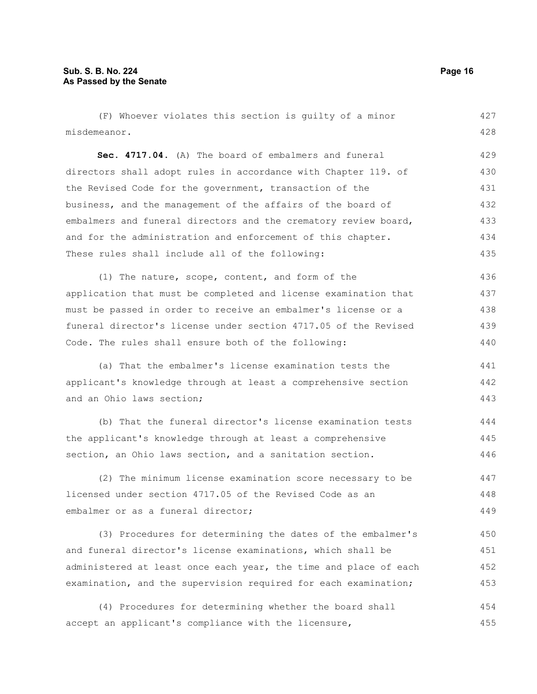(F) Whoever violates this section is guilty of a minor misdemeanor. **Sec. 4717.04.** (A) The board of embalmers and funeral directors shall adopt rules in accordance with Chapter 119. of the Revised Code for the government, transaction of the business, and the management of the affairs of the board of embalmers and funeral directors and the crematory review board, and for the administration and enforcement of this chapter. These rules shall include all of the following: (1) The nature, scope, content, and form of the 427 428 429 430 431 432 433 434 435 436

application that must be completed and license examination that must be passed in order to receive an embalmer's license or a funeral director's license under section 4717.05 of the Revised Code. The rules shall ensure both of the following: 437 438 439 440

(a) That the embalmer's license examination tests the applicant's knowledge through at least a comprehensive section and an Ohio laws section; 441 442 443

(b) That the funeral director's license examination tests the applicant's knowledge through at least a comprehensive section, an Ohio laws section, and a sanitation section. 444 445 446

(2) The minimum license examination score necessary to be licensed under section 4717.05 of the Revised Code as an embalmer or as a funeral director: 447 448 449

(3) Procedures for determining the dates of the embalmer's and funeral director's license examinations, which shall be administered at least once each year, the time and place of each examination, and the supervision required for each examination; 450 451 452 453

(4) Procedures for determining whether the board shall accept an applicant's compliance with the licensure, 454 455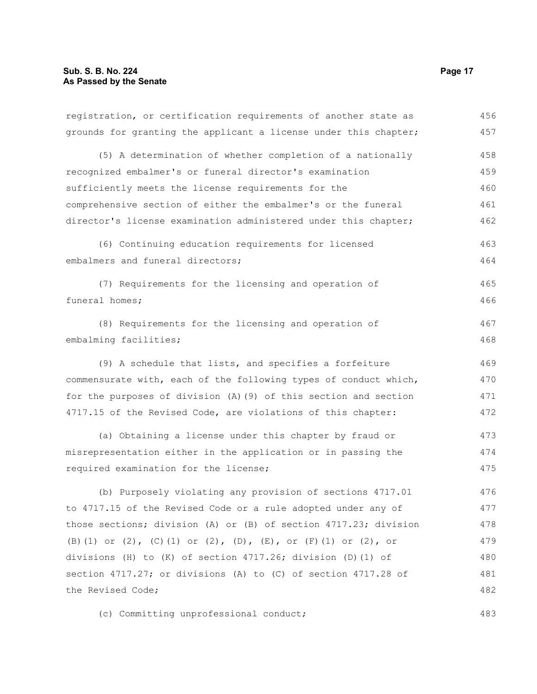| registration, or certification requirements of another state as  | 456 |
|------------------------------------------------------------------|-----|
| grounds for granting the applicant a license under this chapter; | 457 |
| (5) A determination of whether completion of a nationally        | 458 |
| recognized embalmer's or funeral director's examination          | 459 |
| sufficiently meets the license requirements for the              | 460 |
| comprehensive section of either the embalmer's or the funeral    | 461 |
| director's license examination administered under this chapter;  | 462 |
| (6) Continuing education requirements for licensed               | 463 |
| embalmers and funeral directors;                                 | 464 |
| (7) Requirements for the licensing and operation of              | 465 |
| funeral homes;                                                   | 466 |
| (8) Requirements for the licensing and operation of              | 467 |
| embalming facilities;                                            | 468 |
| (9) A schedule that lists, and specifies a forfeiture            | 469 |
| commensurate with, each of the following types of conduct which, | 470 |
| for the purposes of division (A) (9) of this section and section | 471 |
| 4717.15 of the Revised Code, are violations of this chapter:     | 472 |
| (a) Obtaining a license under this chapter by fraud or           | 473 |
| misrepresentation either in the application or in passing the    | 474 |
| required examination for the license;                            | 475 |
| (b) Purposely violating any provision of sections 4717.01        | 476 |
| to 4717.15 of the Revised Code or a rule adopted under any of    | 477 |
| those sections; division (A) or (B) of section 4717.23; division | 478 |
| (B) (1) or (2), (C) (1) or (2), (D), (E), or (F) (1) or (2), or  | 479 |
| divisions (H) to (K) of section 4717.26; division (D) (1) of     | 480 |
| section 4717.27; or divisions (A) to (C) of section 4717.28 of   | 481 |
| the Revised Code;                                                | 482 |
|                                                                  |     |

(c) Committing unprofessional conduct;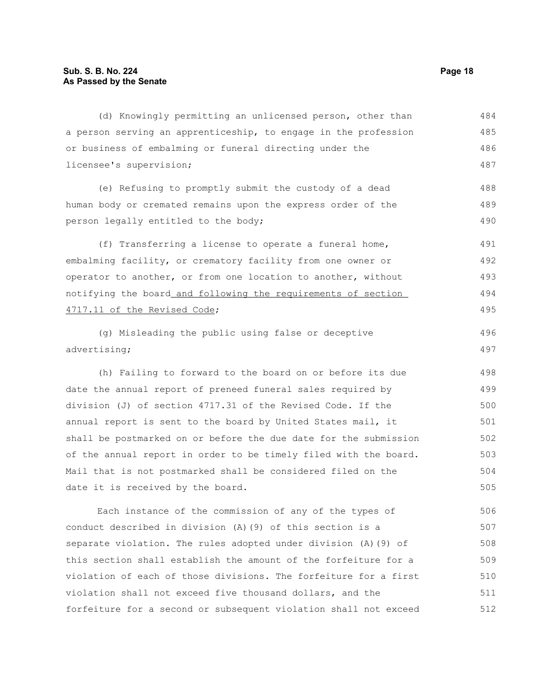(d) Knowingly permitting an unlicensed person, other than a person serving an apprenticeship, to engage in the profession or business of embalming or funeral directing under the licensee's supervision; (e) Refusing to promptly submit the custody of a dead human body or cremated remains upon the express order of the person legally entitled to the body; (f) Transferring a license to operate a funeral home, embalming facility, or crematory facility from one owner or operator to another, or from one location to another, without notifying the board and following the requirements of section 4717.11 of the Revised Code; (g) Misleading the public using false or deceptive advertising; (h) Failing to forward to the board on or before its due date the annual report of preneed funeral sales required by division (J) of section 4717.31 of the Revised Code. If the annual report is sent to the board by United States mail, it shall be postmarked on or before the due date for the submission of the annual report in order to be timely filed with the board. Mail that is not postmarked shall be considered filed on the date it is received by the board. Each instance of the commission of any of the types of 484 485 486 487 488 489 490 491 492 493 494 495 496 497 498 499 500 501 502 503 504 505 506

conduct described in division (A)(9) of this section is a separate violation. The rules adopted under division (A)(9) of this section shall establish the amount of the forfeiture for a violation of each of those divisions. The forfeiture for a first violation shall not exceed five thousand dollars, and the forfeiture for a second or subsequent violation shall not exceed 507 508 509 510 511 512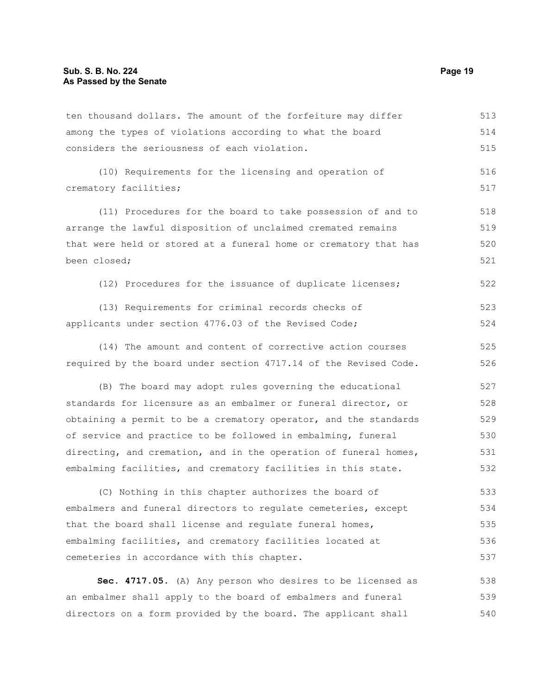ten thousand dollars. The amount of the forfeiture may differ among the types of violations according to what the board considers the seriousness of each violation. (10) Requirements for the licensing and operation of crematory facilities; (11) Procedures for the board to take possession of and to arrange the lawful disposition of unclaimed cremated remains that were held or stored at a funeral home or crematory that has been closed; (12) Procedures for the issuance of duplicate licenses; (13) Requirements for criminal records checks of applicants under section 4776.03 of the Revised Code; (14) The amount and content of corrective action courses required by the board under section 4717.14 of the Revised Code. (B) The board may adopt rules governing the educational standards for licensure as an embalmer or funeral director, or obtaining a permit to be a crematory operator, and the standards of service and practice to be followed in embalming, funeral directing, and cremation, and in the operation of funeral homes, embalming facilities, and crematory facilities in this state. (C) Nothing in this chapter authorizes the board of embalmers and funeral directors to regulate cemeteries, except that the board shall license and regulate funeral homes, embalming facilities, and crematory facilities located at cemeteries in accordance with this chapter. **Sec. 4717.05.** (A) Any person who desires to be licensed as 513 514 515 516 517 518 519 520 521 522 523 524 525 526 527 528 529 530 531 532 533 534 535 536 537 538

an embalmer shall apply to the board of embalmers and funeral directors on a form provided by the board. The applicant shall 539 540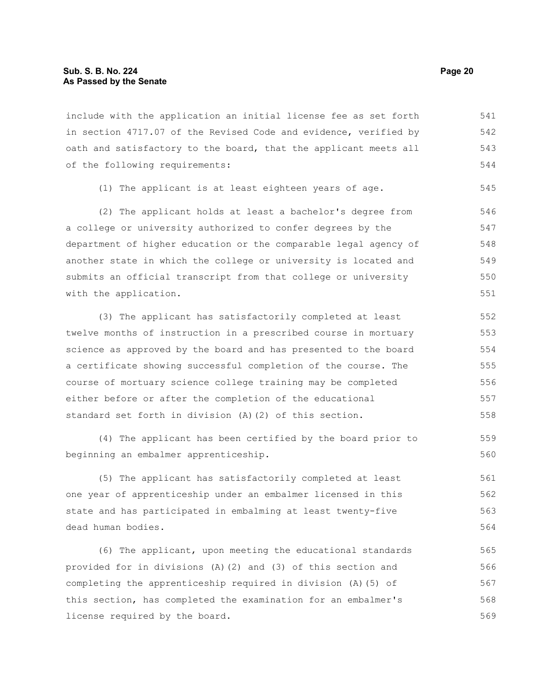include with the application an initial license fee as set forth in section 4717.07 of the Revised Code and evidence, verified by oath and satisfactory to the board, that the applicant meets all of the following requirements: 541 542 543 544

(1) The applicant is at least eighteen years of age.

(2) The applicant holds at least a bachelor's degree from a college or university authorized to confer degrees by the department of higher education or the comparable legal agency of another state in which the college or university is located and submits an official transcript from that college or university with the application. 546 547 548 549 550 551

(3) The applicant has satisfactorily completed at least twelve months of instruction in a prescribed course in mortuary science as approved by the board and has presented to the board a certificate showing successful completion of the course. The course of mortuary science college training may be completed either before or after the completion of the educational standard set forth in division (A)(2) of this section. 552 553 554 555 556 557 558

(4) The applicant has been certified by the board prior to beginning an embalmer apprenticeship.

(5) The applicant has satisfactorily completed at least one year of apprenticeship under an embalmer licensed in this state and has participated in embalming at least twenty-five dead human bodies. 561 562 563 564

(6) The applicant, upon meeting the educational standards provided for in divisions (A)(2) and (3) of this section and completing the apprenticeship required in division (A)(5) of this section, has completed the examination for an embalmer's license required by the board. 565 566 567 568 569

545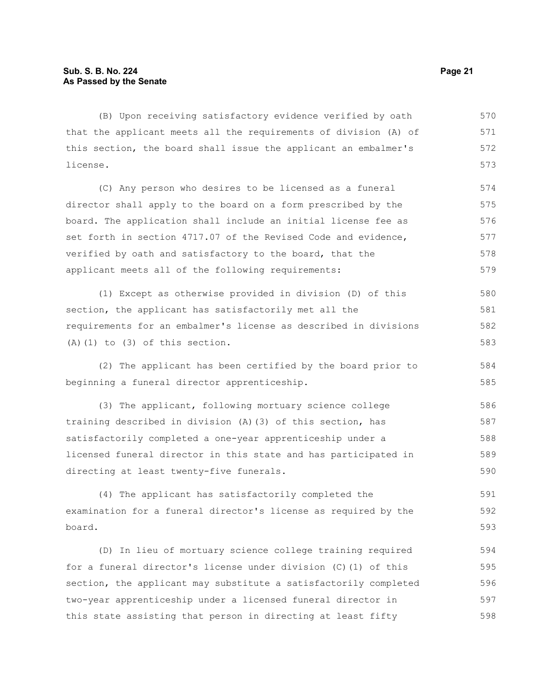(B) Upon receiving satisfactory evidence verified by oath that the applicant meets all the requirements of division (A) of this section, the board shall issue the applicant an embalmer's license. 570 571 572 573

(C) Any person who desires to be licensed as a funeral director shall apply to the board on a form prescribed by the board. The application shall include an initial license fee as set forth in section 4717.07 of the Revised Code and evidence, verified by oath and satisfactory to the board, that the applicant meets all of the following requirements: 574 575 576 577 578 579

(1) Except as otherwise provided in division (D) of this section, the applicant has satisfactorily met all the requirements for an embalmer's license as described in divisions (A)(1) to (3) of this section. 580 581 582 583

(2) The applicant has been certified by the board prior to beginning a funeral director apprenticeship.

(3) The applicant, following mortuary science college training described in division (A)(3) of this section, has satisfactorily completed a one-year apprenticeship under a licensed funeral director in this state and has participated in directing at least twenty-five funerals. 586 587 588 589 590

(4) The applicant has satisfactorily completed the examination for a funeral director's license as required by the board. 591 592 593

(D) In lieu of mortuary science college training required for a funeral director's license under division (C)(1) of this section, the applicant may substitute a satisfactorily completed two-year apprenticeship under a licensed funeral director in this state assisting that person in directing at least fifty 594 595 596 597 598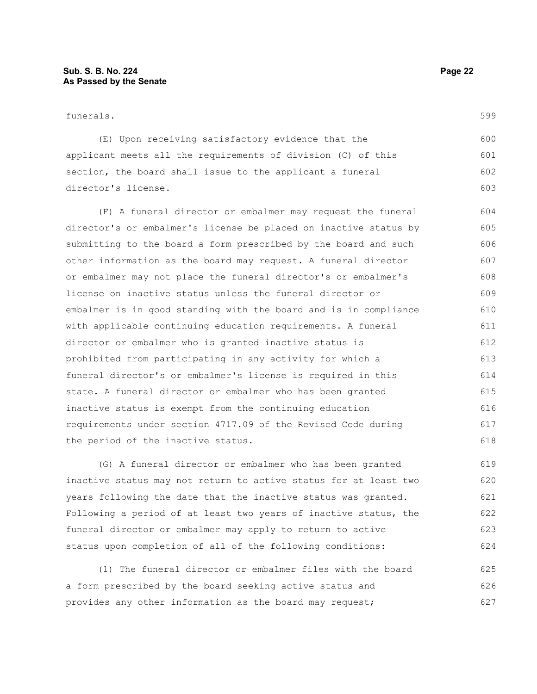#### funerals.

599

(E) Upon receiving satisfactory evidence that the applicant meets all the requirements of division (C) of this section, the board shall issue to the applicant a funeral director's license. 600 601 602 603

(F) A funeral director or embalmer may request the funeral director's or embalmer's license be placed on inactive status by submitting to the board a form prescribed by the board and such other information as the board may request. A funeral director or embalmer may not place the funeral director's or embalmer's license on inactive status unless the funeral director or embalmer is in good standing with the board and is in compliance with applicable continuing education requirements. A funeral director or embalmer who is granted inactive status is prohibited from participating in any activity for which a funeral director's or embalmer's license is required in this state. A funeral director or embalmer who has been granted inactive status is exempt from the continuing education requirements under section 4717.09 of the Revised Code during the period of the inactive status. 604 605 606 607 608 609 610 611 612 613 614 615 616 617 618

(G) A funeral director or embalmer who has been granted inactive status may not return to active status for at least two years following the date that the inactive status was granted. Following a period of at least two years of inactive status, the funeral director or embalmer may apply to return to active status upon completion of all of the following conditions: 619 620 621 622 623 624

(1) The funeral director or embalmer files with the board a form prescribed by the board seeking active status and provides any other information as the board may request; 625 626 627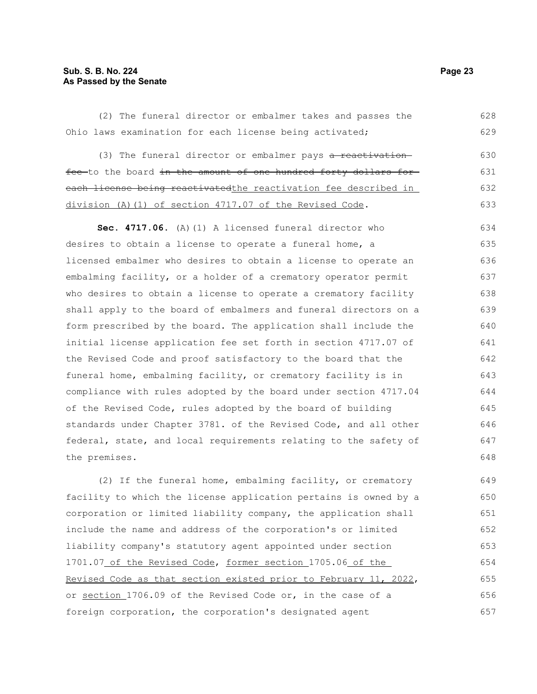#### **Sub. S. B. No. 224 Page 23 As Passed by the Senate**

(2) The funeral director or embalmer takes and passes the Ohio laws examination for each license being activated; (3) The funeral director or embalmer pays a reactivationfee to the board in the amount of one hundred forty dollars for each license being reactivatedthe reactivation fee described in division (A)(1) of section 4717.07 of the Revised Code. **Sec. 4717.06.** (A)(1) A licensed funeral director who desires to obtain a license to operate a funeral home, a licensed embalmer who desires to obtain a license to operate an embalming facility, or a holder of a crematory operator permit who desires to obtain a license to operate a crematory facility shall apply to the board of embalmers and funeral directors on a form prescribed by the board. The application shall include the initial license application fee set forth in section 4717.07 of the Revised Code and proof satisfactory to the board that the funeral home, embalming facility, or crematory facility is in compliance with rules adopted by the board under section 4717.04 of the Revised Code, rules adopted by the board of building standards under Chapter 3781. of the Revised Code, and all other federal, state, and local requirements relating to the safety of the premises. (2) If the funeral home, embalming facility, or crematory facility to which the license application pertains is owned by a corporation or limited liability company, the application shall include the name and address of the corporation's or limited liability company's statutory agent appointed under section 628 629 630 631 632 633 634 635 636 637 638 639 640 641 642 643 644 645 646 647 648 649 650 651 652 653

1701.07 of the Revised Code, former section 1705.06 of the Revised Code as that section existed prior to February 11, 2022, or section 1706.09 of the Revised Code or, in the case of a foreign corporation, the corporation's designated agent 654 655 656 657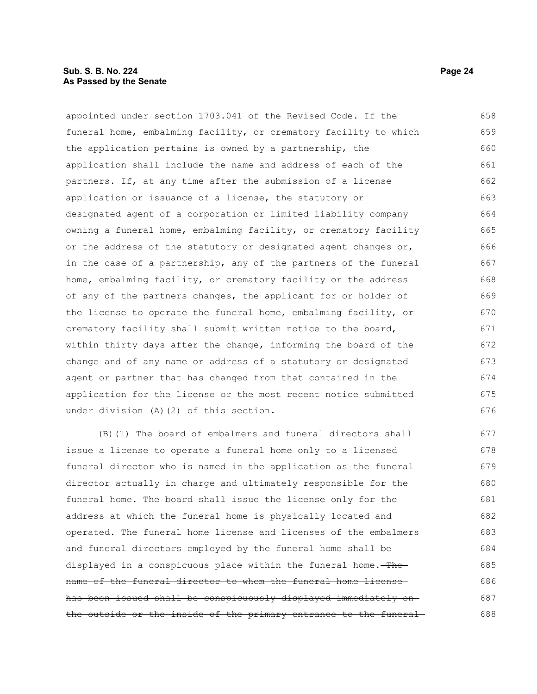#### **Sub. S. B. No. 224 Page 24 As Passed by the Senate**

appointed under section 1703.041 of the Revised Code. If the funeral home, embalming facility, or crematory facility to which the application pertains is owned by a partnership, the application shall include the name and address of each of the partners. If, at any time after the submission of a license application or issuance of a license, the statutory or designated agent of a corporation or limited liability company owning a funeral home, embalming facility, or crematory facility or the address of the statutory or designated agent changes or, in the case of a partnership, any of the partners of the funeral home, embalming facility, or crematory facility or the address of any of the partners changes, the applicant for or holder of the license to operate the funeral home, embalming facility, or crematory facility shall submit written notice to the board, within thirty days after the change, informing the board of the change and of any name or address of a statutory or designated agent or partner that has changed from that contained in the application for the license or the most recent notice submitted under division (A)(2) of this section. 658 659 660 661 662 663 664 665 666 667 668 669 670 671 672 673 674 675 676

(B)(1) The board of embalmers and funeral directors shall issue a license to operate a funeral home only to a licensed funeral director who is named in the application as the funeral director actually in charge and ultimately responsible for the funeral home. The board shall issue the license only for the address at which the funeral home is physically located and operated. The funeral home license and licenses of the embalmers and funeral directors employed by the funeral home shall be displayed in a conspicuous place within the funeral home. The name of the funeral director to whom the funeral home license has been issued shall be conspicuously displayed immediately on the outside or the inside of the primary entrance to the funeral-677 678 679 680 681 682 683 684 685 686 687 688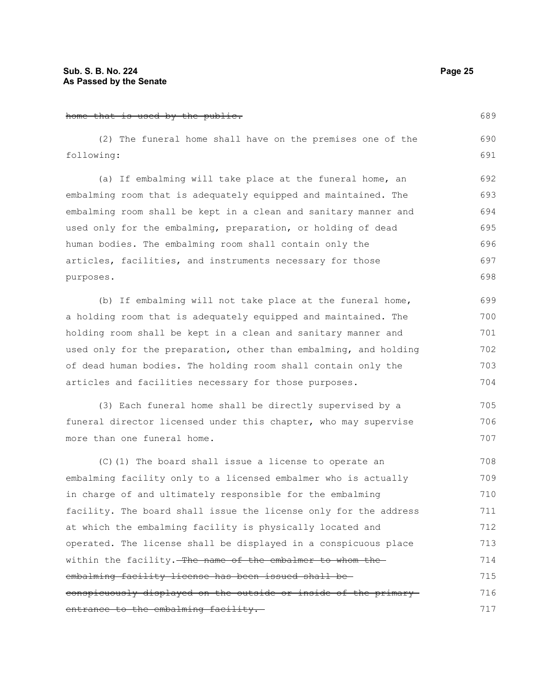#### home that is used by the public. (2) The funeral home shall have on the premises one of the following: (a) If embalming will take place at the funeral home, an embalming room that is adequately equipped and maintained. The embalming room shall be kept in a clean and sanitary manner and used only for the embalming, preparation, or holding of dead human bodies. The embalming room shall contain only the articles, facilities, and instruments necessary for those purposes. (b) If embalming will not take place at the funeral home, a holding room that is adequately equipped and maintained. The holding room shall be kept in a clean and sanitary manner and used only for the preparation, other than embalming, and holding of dead human bodies. The holding room shall contain only the articles and facilities necessary for those purposes. (3) Each funeral home shall be directly supervised by a funeral director licensed under this chapter, who may supervise more than one funeral home. 689 690 691 692 693 694 695 696 697 698 699 700 701 702 703 704 705 706 707

(C)(1) The board shall issue a license to operate an embalming facility only to a licensed embalmer who is actually in charge of and ultimately responsible for the embalming facility. The board shall issue the license only for the address at which the embalming facility is physically located and operated. The license shall be displayed in a conspicuous place within the facility. The name of the embalmer to whom the embalming facility license has been issued shall be conspicuously displayed on the outside or inside of the primary entrance to the embalming facility. 708 709 710 711 712 713 714 715 716 717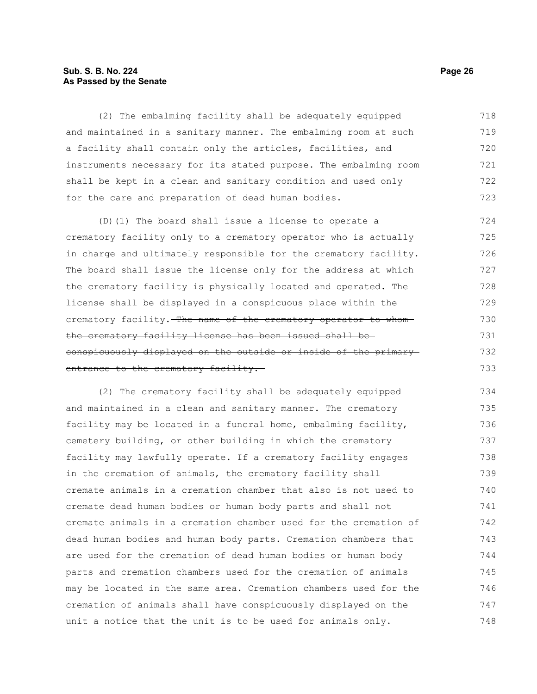### **Sub. S. B. No. 224 Page 26 As Passed by the Senate**

(2) The embalming facility shall be adequately equipped and maintained in a sanitary manner. The embalming room at such a facility shall contain only the articles, facilities, and instruments necessary for its stated purpose. The embalming room shall be kept in a clean and sanitary condition and used only for the care and preparation of dead human bodies. 718 719 720 721 722 723

(D)(1) The board shall issue a license to operate a crematory facility only to a crematory operator who is actually in charge and ultimately responsible for the crematory facility. The board shall issue the license only for the address at which the crematory facility is physically located and operated. The license shall be displayed in a conspicuous place within the crematory facility. The name of the crematory operator to whomthe crematory facility license has been issued shall be conspicuously displayed on the outside or inside of the primary entrance to the crematory facility. 724 725 726 727 728 729 730 731 732 733

(2) The crematory facility shall be adequately equipped and maintained in a clean and sanitary manner. The crematory facility may be located in a funeral home, embalming facility, cemetery building, or other building in which the crematory facility may lawfully operate. If a crematory facility engages in the cremation of animals, the crematory facility shall cremate animals in a cremation chamber that also is not used to cremate dead human bodies or human body parts and shall not cremate animals in a cremation chamber used for the cremation of dead human bodies and human body parts. Cremation chambers that are used for the cremation of dead human bodies or human body parts and cremation chambers used for the cremation of animals may be located in the same area. Cremation chambers used for the cremation of animals shall have conspicuously displayed on the unit a notice that the unit is to be used for animals only. 734 735 736 737 738 739 740 741 742 743 744 745 746 747 748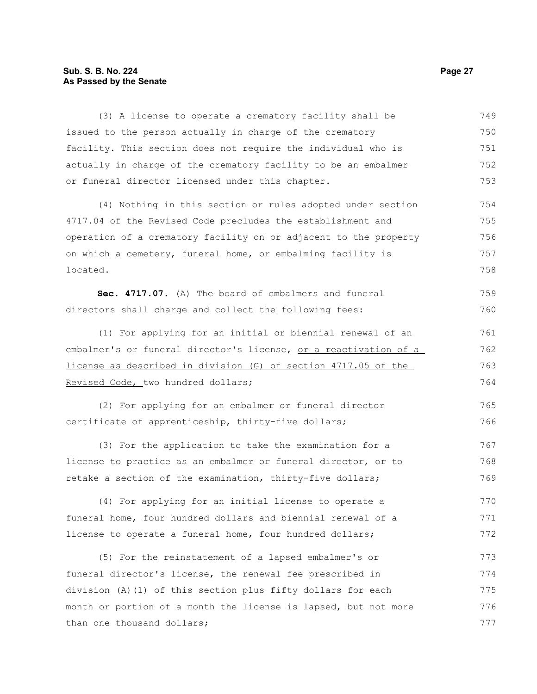# **Sub. S. B. No. 224** Page 27 **As Passed by the Senate**

| (3) A license to operate a crematory facility shall be                  | 749 |
|-------------------------------------------------------------------------|-----|
| issued to the person actually in charge of the crematory                | 750 |
| facility. This section does not require the individual who is           | 751 |
| actually in charge of the crematory facility to be an embalmer          | 752 |
| or funeral director licensed under this chapter.                        | 753 |
| (4) Nothing in this section or rules adopted under section              | 754 |
| 4717.04 of the Revised Code precludes the establishment and             | 755 |
| operation of a crematory facility on or adjacent to the property        | 756 |
| on which a cemetery, funeral home, or embalming facility is             | 757 |
| located.                                                                | 758 |
| Sec. 4717.07. (A) The board of embalmers and funeral                    | 759 |
| directors shall charge and collect the following fees:                  | 760 |
| (1) For applying for an initial or biennial renewal of an               | 761 |
| embalmer's or funeral director's license, <u>or a reactivation of a</u> | 762 |
| license as described in division (G) of section 4717.05 of the          | 763 |
| Revised Code, two hundred dollars;                                      | 764 |
| (2) For applying for an embalmer or funeral director                    | 765 |
| certificate of apprenticeship, thirty-five dollars;                     | 766 |
| (3) For the application to take the examination for a                   | 767 |
| license to practice as an embalmer or funeral director, or to           | 768 |
| retake a section of the examination, thirty-five dollars;               | 769 |
| (4) For applying for an initial license to operate a                    | 770 |
| funeral home, four hundred dollars and biennial renewal of a            | 771 |
| license to operate a funeral home, four hundred dollars;                | 772 |
| (5) For the reinstatement of a lapsed embalmer's or                     | 773 |
| funeral director's license, the renewal fee prescribed in               | 774 |
| division (A)(1) of this section plus fifty dollars for each             | 775 |
| month or portion of a month the license is lapsed, but not more         | 776 |
| than one thousand dollars;                                              | 777 |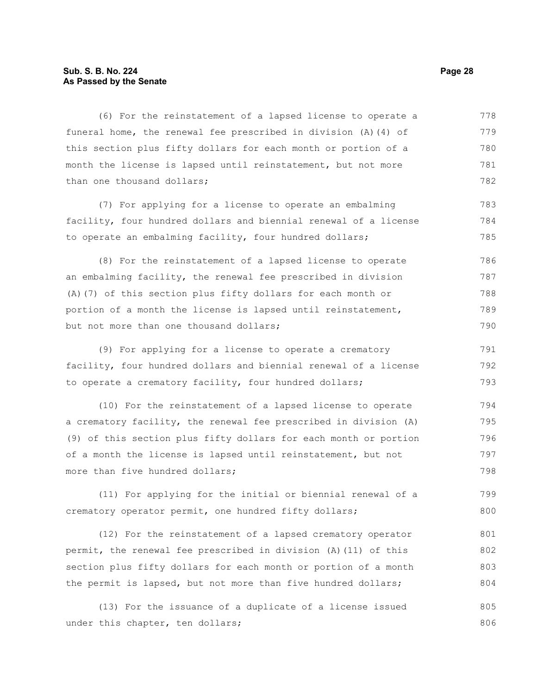#### **Sub. S. B. No. 224 Page 28 As Passed by the Senate**

(6) For the reinstatement of a lapsed license to operate a funeral home, the renewal fee prescribed in division (A)(4) of this section plus fifty dollars for each month or portion of a month the license is lapsed until reinstatement, but not more than one thousand dollars; 778 779 780 781 782

(7) For applying for a license to operate an embalming facility, four hundred dollars and biennial renewal of a license to operate an embalming facility, four hundred dollars; 783 784 785

(8) For the reinstatement of a lapsed license to operate an embalming facility, the renewal fee prescribed in division (A)(7) of this section plus fifty dollars for each month or portion of a month the license is lapsed until reinstatement, but not more than one thousand dollars; 786 787 788 789 790

(9) For applying for a license to operate a crematory facility, four hundred dollars and biennial renewal of a license to operate a crematory facility, four hundred dollars; 791 792 793

(10) For the reinstatement of a lapsed license to operate a crematory facility, the renewal fee prescribed in division (A) (9) of this section plus fifty dollars for each month or portion of a month the license is lapsed until reinstatement, but not more than five hundred dollars; 794 795 796 797 798

(11) For applying for the initial or biennial renewal of a crematory operator permit, one hundred fifty dollars; 799 800

(12) For the reinstatement of a lapsed crematory operator permit, the renewal fee prescribed in division (A)(11) of this section plus fifty dollars for each month or portion of a month the permit is lapsed, but not more than five hundred dollars; 801 802 803 804

(13) For the issuance of a duplicate of a license issued under this chapter, ten dollars; 805 806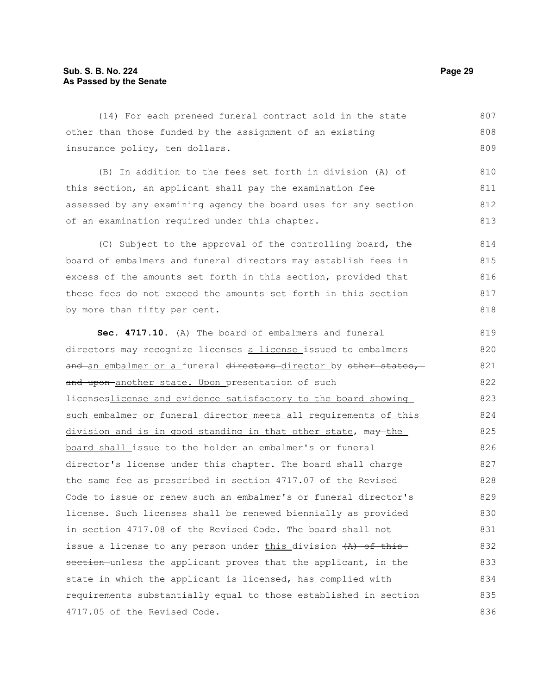(14) For each preneed funeral contract sold in the state other than those funded by the assignment of an existing insurance policy, ten dollars. 807 808 809

(B) In addition to the fees set forth in division (A) of this section, an applicant shall pay the examination fee assessed by any examining agency the board uses for any section of an examination required under this chapter.

(C) Subject to the approval of the controlling board, the board of embalmers and funeral directors may establish fees in excess of the amounts set forth in this section, provided that these fees do not exceed the amounts set forth in this section by more than fifty per cent. 814 815 816 817 818

**Sec. 4717.10.** (A) The board of embalmers and funeral directors may recognize Hicenses a license issued to embalmers and an embalmer or a funeral directors director by other states, and upon-another state. Upon presentation of such Hicenseslicense and evidence satisfactory to the board showing such embalmer or funeral director meets all requirements of this division and is in good standing in that other state, may the board shall issue to the holder an embalmer's or funeral director's license under this chapter. The board shall charge the same fee as prescribed in section 4717.07 of the Revised Code to issue or renew such an embalmer's or funeral director's license. Such licenses shall be renewed biennially as provided in section 4717.08 of the Revised Code. The board shall not issue a license to any person under this division  $(A)$  of this section unless the applicant proves that the applicant, in the state in which the applicant is licensed, has complied with requirements substantially equal to those established in section 4717.05 of the Revised Code. 819 820 821 822 823 824 825 826 827 828 829 830 831 832 833 834 835 836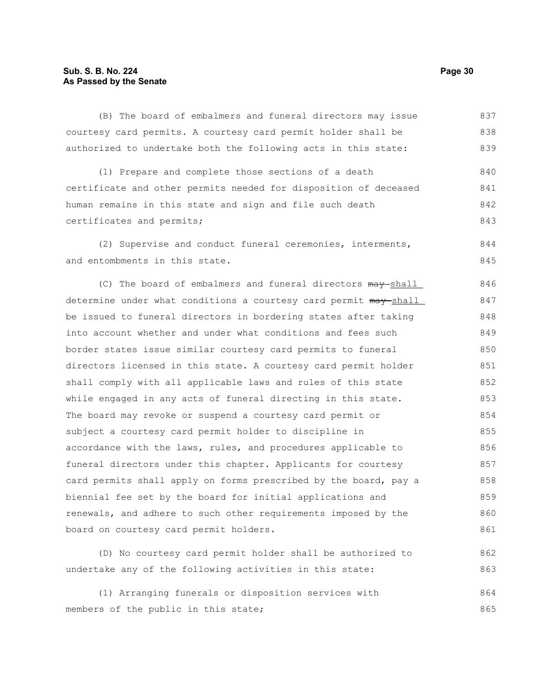### **Sub. S. B. No. 224 Page 30 As Passed by the Senate**

(B) The board of embalmers and funeral directors may issue courtesy card permits. A courtesy card permit holder shall be authorized to undertake both the following acts in this state: 837 838 839

(1) Prepare and complete those sections of a death certificate and other permits needed for disposition of deceased human remains in this state and sign and file such death certificates and permits; 840 841 842 843

(2) Supervise and conduct funeral ceremonies, interments, and entombments in this state. 844 845

(C) The board of embalmers and funeral directors  $\frac{may-shell}{}$ determine under what conditions a courtesy card permit  $m\alpha y$ -shall be issued to funeral directors in bordering states after taking into account whether and under what conditions and fees such border states issue similar courtesy card permits to funeral directors licensed in this state. A courtesy card permit holder shall comply with all applicable laws and rules of this state while engaged in any acts of funeral directing in this state. The board may revoke or suspend a courtesy card permit or subject a courtesy card permit holder to discipline in accordance with the laws, rules, and procedures applicable to funeral directors under this chapter. Applicants for courtesy card permits shall apply on forms prescribed by the board, pay a biennial fee set by the board for initial applications and renewals, and adhere to such other requirements imposed by the board on courtesy card permit holders. 846 847 848 849 850 851 852 853 854 855 856 857 858 859 860 861

(D) No courtesy card permit holder shall be authorized to undertake any of the following activities in this state: (1) Arranging funerals or disposition services with members of the public in this state; 862 863 864 865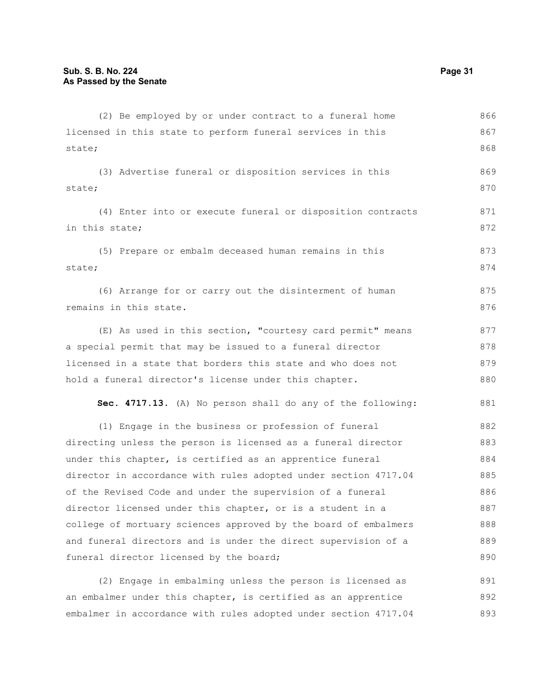| (2) Be employed by or under contract to a funeral home          | 866 |
|-----------------------------------------------------------------|-----|
| licensed in this state to perform funeral services in this      | 867 |
| state;                                                          | 868 |
| (3) Advertise funeral or disposition services in this           | 869 |
| state;                                                          | 870 |
| (4) Enter into or execute funeral or disposition contracts      | 871 |
| in this state;                                                  | 872 |
| (5) Prepare or embalm deceased human remains in this            | 873 |
| state;                                                          | 874 |
| (6) Arrange for or carry out the disinterment of human          | 875 |
| remains in this state.                                          | 876 |
| (E) As used in this section, "courtesy card permit" means       | 877 |
| a special permit that may be issued to a funeral director       | 878 |
| licensed in a state that borders this state and who does not    | 879 |
| hold a funeral director's license under this chapter.           | 880 |
| Sec. 4717.13. (A) No person shall do any of the following:      | 881 |
| (1) Engage in the business or profession of funeral             | 882 |
| directing unless the person is licensed as a funeral director   | 883 |
| under this chapter, is certified as an apprentice funeral       | 884 |
| director in accordance with rules adopted under section 4717.04 | 885 |
| of the Revised Code and under the supervision of a funeral      | 886 |
| director licensed under this chapter, or is a student in a      | 887 |
| college of mortuary sciences approved by the board of embalmers | 888 |
| and funeral directors and is under the direct supervision of a  | 889 |
| funeral director licensed by the board;                         | 890 |
| (2) Engage in embalming unless the person is licensed as        | 891 |
| an embalmer under this chapter, is certified as an apprentice   | 892 |

embalmer in accordance with rules adopted under section 4717.04 893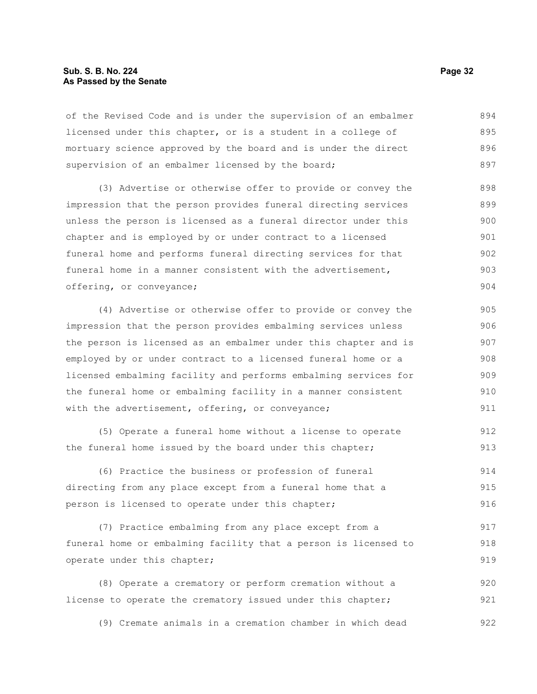#### **Sub. S. B. No. 224 Page 32 As Passed by the Senate**

of the Revised Code and is under the supervision of an embalmer licensed under this chapter, or is a student in a college of mortuary science approved by the board and is under the direct supervision of an embalmer licensed by the board; 894 895 896 897

(3) Advertise or otherwise offer to provide or convey the impression that the person provides funeral directing services unless the person is licensed as a funeral director under this chapter and is employed by or under contract to a licensed funeral home and performs funeral directing services for that funeral home in a manner consistent with the advertisement, offering, or conveyance; 898 899 900 901 902 903 904

(4) Advertise or otherwise offer to provide or convey the impression that the person provides embalming services unless the person is licensed as an embalmer under this chapter and is employed by or under contract to a licensed funeral home or a licensed embalming facility and performs embalming services for the funeral home or embalming facility in a manner consistent with the advertisement, offering, or conveyance; 905 906 907 908 909 910 911

(5) Operate a funeral home without a license to operate the funeral home issued by the board under this chapter; 912 913

(6) Practice the business or profession of funeral directing from any place except from a funeral home that a person is licensed to operate under this chapter; 914 915 916

(7) Practice embalming from any place except from a funeral home or embalming facility that a person is licensed to operate under this chapter; 917 918 919

(8) Operate a crematory or perform cremation without a license to operate the crematory issued under this chapter; 920 921

(9) Cremate animals in a cremation chamber in which dead 922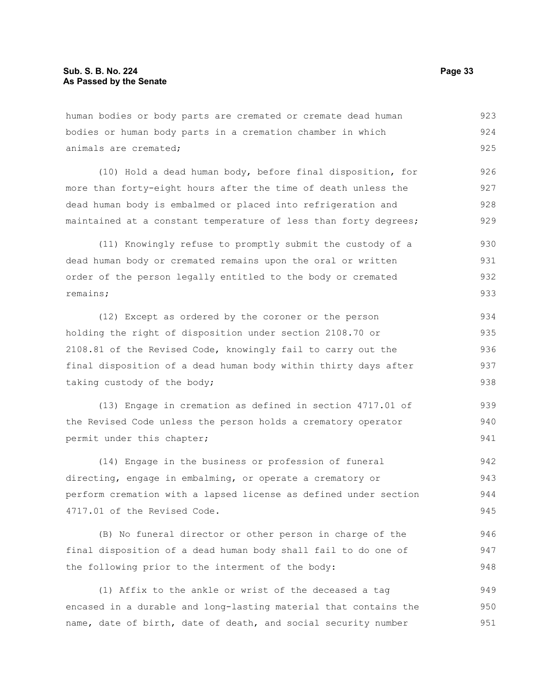human bodies or body parts are cremated or cremate dead human bodies or human body parts in a cremation chamber in which animals are cremated; (10) Hold a dead human body, before final disposition, for more than forty-eight hours after the time of death unless the dead human body is embalmed or placed into refrigeration and maintained at a constant temperature of less than forty degrees; (11) Knowingly refuse to promptly submit the custody of a dead human body or cremated remains upon the oral or written order of the person legally entitled to the body or cremated remains; (12) Except as ordered by the coroner or the person holding the right of disposition under section 2108.70 or 2108.81 of the Revised Code, knowingly fail to carry out the final disposition of a dead human body within thirty days after 923 924 925 926 927 928 929 930 931 932 933 934 935 936 937

taking custody of the body;

(13) Engage in cremation as defined in section 4717.01 of the Revised Code unless the person holds a crematory operator permit under this chapter; 939 940 941

(14) Engage in the business or profession of funeral directing, engage in embalming, or operate a crematory or perform cremation with a lapsed license as defined under section 4717.01 of the Revised Code. 942 943 944 945

(B) No funeral director or other person in charge of the final disposition of a dead human body shall fail to do one of the following prior to the interment of the body: 946 947 948

(1) Affix to the ankle or wrist of the deceased a tag encased in a durable and long-lasting material that contains the name, date of birth, date of death, and social security number 949 950 951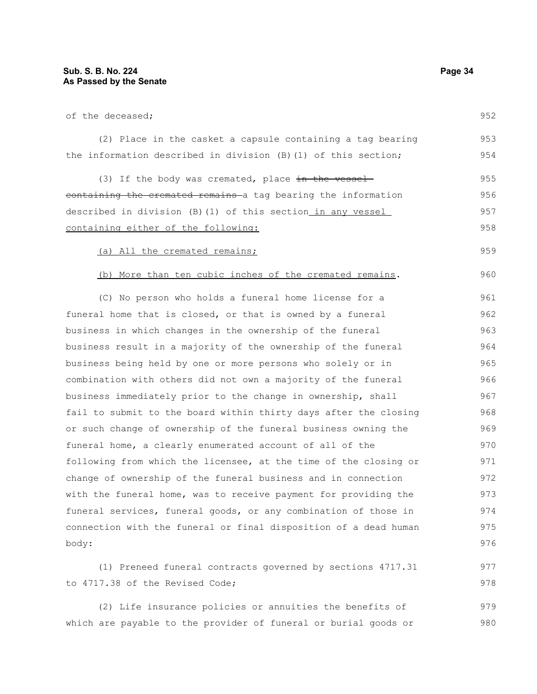977 978

| of the deceased;                                                 | 952 |
|------------------------------------------------------------------|-----|
| (2) Place in the casket a capsule containing a tag bearing       | 953 |
| the information described in division (B) (1) of this section;   | 954 |
| (3) If the body was cremated, place $\frac{1}{2}$ the vessel     | 955 |
| containing the cremated remains a tag bearing the information    | 956 |
| described in division (B)(1) of this section_in any vessel_      | 957 |
| containing either of the following:                              | 958 |
| (a) All the cremated remains;                                    | 959 |
| (b) More than ten cubic inches of the cremated remains.          | 960 |
| (C) No person who holds a funeral home license for a             | 961 |
| funeral home that is closed, or that is owned by a funeral       | 962 |
| business in which changes in the ownership of the funeral        | 963 |
| business result in a majority of the ownership of the funeral    | 964 |
| business being held by one or more persons who solely or in      | 965 |
| combination with others did not own a majority of the funeral    | 966 |
| business immediately prior to the change in ownership, shall     | 967 |
| fail to submit to the board within thirty days after the closing | 968 |
| or such change of ownership of the funeral business owning the   | 969 |
| funeral home, a clearly enumerated account of all of the         | 970 |
| following from which the licensee, at the time of the closing or | 971 |
| change of ownership of the funeral business and in connection    | 972 |

change of ownership of the funeral business and in connection with the funeral home, was to receive payment for providing the funeral services, funeral goods, or any combination of those in connection with the funeral or final disposition of a dead human body: 972 973 974 975 976

(1) Preneed funeral contracts governed by sections 4717.31 to 4717.38 of the Revised Code;

(2) Life insurance policies or annuities the benefits of which are payable to the provider of funeral or burial goods or 979 980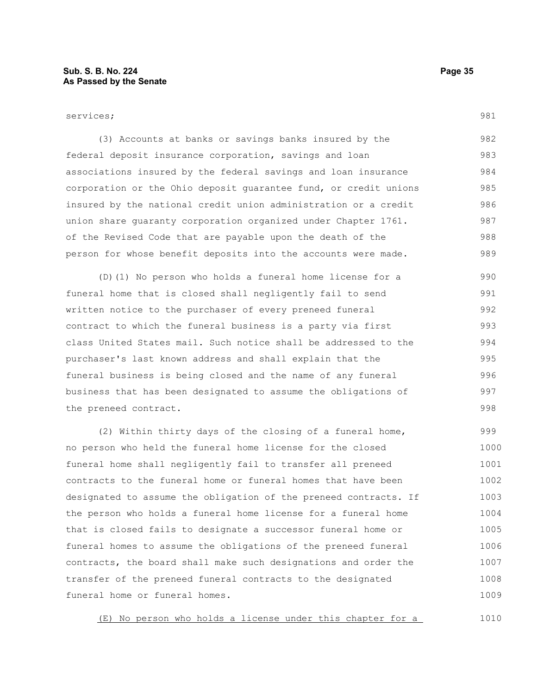981

| (3) Accounts at banks or savings banks insured by the            | 982 |
|------------------------------------------------------------------|-----|
| federal deposit insurance corporation, savings and loan          | 983 |
| associations insured by the federal savings and loan insurance   | 984 |
| corporation or the Ohio deposit quarantee fund, or credit unions | 985 |
| insured by the national credit union administration or a credit  | 986 |
| union share quaranty corporation organized under Chapter 1761.   | 987 |
| of the Revised Code that are payable upon the death of the       | 988 |
| person for whose benefit deposits into the accounts were made.   | 989 |

(D)(1) No person who holds a funeral home license for a funeral home that is closed shall negligently fail to send written notice to the purchaser of every preneed funeral contract to which the funeral business is a party via first class United States mail. Such notice shall be addressed to the purchaser's last known address and shall explain that the funeral business is being closed and the name of any funeral business that has been designated to assume the obligations of the preneed contract. 990 991 992 993 994 995 996 997 998

(2) Within thirty days of the closing of a funeral home, no person who held the funeral home license for the closed funeral home shall negligently fail to transfer all preneed contracts to the funeral home or funeral homes that have been designated to assume the obligation of the preneed contracts. If the person who holds a funeral home license for a funeral home that is closed fails to designate a successor funeral home or funeral homes to assume the obligations of the preneed funeral contracts, the board shall make such designations and order the transfer of the preneed funeral contracts to the designated funeral home or funeral homes. 999 1000 1001 1002 1003 1004 1005 1006 1007 1008 1009

(E) No person who holds a license under this chapter for a 1010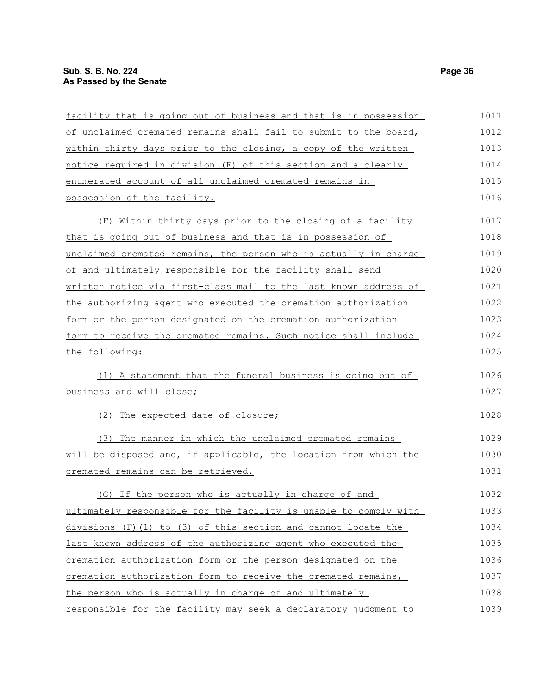| facility that is going out of business and that is in possession | 1011 |
|------------------------------------------------------------------|------|
| of unclaimed cremated remains shall fail to submit to the board, | 1012 |
| within thirty days prior to the closing, a copy of the written   | 1013 |
| notice required in division (F) of this section and a clearly    | 1014 |
| enumerated account of all unclaimed cremated remains in          | 1015 |
| possession of the facility.                                      | 1016 |
| (F) Within thirty days prior to the closing of a facility        | 1017 |
| that is going out of business and that is in possession of       | 1018 |
| unclaimed cremated remains, the person who is actually in charge | 1019 |
| of and ultimately responsible for the facility shall send        | 1020 |
| written notice via first-class mail to the last known address of | 1021 |
| the authorizing agent who executed the cremation authorization   | 1022 |
| form or the person designated on the cremation authorization     | 1023 |
| form to receive the cremated remains. Such notice shall include  | 1024 |
| the following:                                                   | 1025 |
| (1) A statement that the funeral business is going out of        | 1026 |
| business and will close;                                         | 1027 |
| (2) The expected date of closure;                                | 1028 |
| (3) The manner in which the unclaimed cremated remains           | 1029 |
| will be disposed and, if applicable, the location from which the | 1030 |
| cremated remains can be retrieved.                               | 1031 |
| (G) If the person who is actually in charge of and               | 1032 |
| ultimately responsible for the facility is unable to comply with | 1033 |
| $divisions$ (F)(1) to (3) of this section and cannot locate the  | 1034 |
| last known address of the authorizing agent who executed the     | 1035 |
| cremation authorization form or the person designated on the     | 1036 |
| cremation authorization form to receive the cremated remains,    | 1037 |
| the person who is actually in charge of and ultimately           | 1038 |
| responsible for the facility may seek a declaratory judgment to  | 1039 |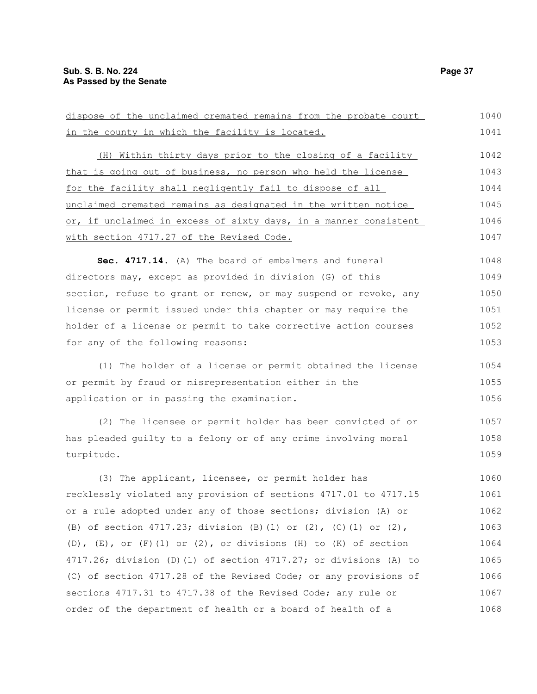| dispose of the unclaimed cremated remains from the probate court     | 1040 |
|----------------------------------------------------------------------|------|
| in the county in which the facility is located.                      | 1041 |
| (H) Within thirty days prior to the closing of a facility            | 1042 |
| that is going out of business, no person who held the license        | 1043 |
| for the facility shall negligently fail to dispose of all            | 1044 |
| unclaimed cremated remains as designated in the written notice       | 1045 |
| or, if unclaimed in excess of sixty days, in a manner consistent     | 1046 |
| with section 4717.27 of the Revised Code.                            | 1047 |
| Sec. 4717.14. (A) The board of embalmers and funeral                 | 1048 |
| directors may, except as provided in division (G) of this            | 1049 |
| section, refuse to grant or renew, or may suspend or revoke, any     | 1050 |
| license or permit issued under this chapter or may require the       | 1051 |
| holder of a license or permit to take corrective action courses      | 1052 |
| for any of the following reasons:                                    | 1053 |
| (1) The holder of a license or permit obtained the license           | 1054 |
| or permit by fraud or misrepresentation either in the                | 1055 |
| application or in passing the examination.                           | 1056 |
|                                                                      |      |
| (2) The licensee or permit holder has been convicted of or           | 1057 |
| has pleaded guilty to a felony or of any crime involving moral       | 1058 |
| turpitude.                                                           | 1059 |
| (3) The applicant, licensee, or permit holder has                    | 1060 |
| recklessly violated any provision of sections 4717.01 to 4717.15     | 1061 |
| or a rule adopted under any of those sections; division (A) or       | 1062 |
| (B) of section 4717.23; division (B)(1) or (2), (C)(1) or (2),       | 1063 |
| (D), $(E)$ , or $(F)$ (1) or (2), or divisions (H) to (K) of section | 1064 |
| 4717.26; division (D) (1) of section 4717.27; or divisions (A) to    | 1065 |
| (C) of section 4717.28 of the Revised Code; or any provisions of     | 1066 |
| sections 4717.31 to 4717.38 of the Revised Code; any rule or         | 1067 |
| order of the department of health or a board of health of a          | 1068 |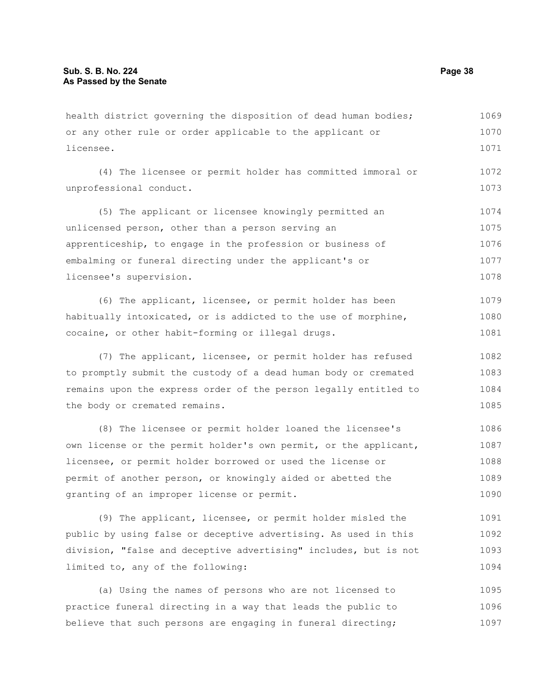health district governing the disposition of dead human bodies; or any other rule or order applicable to the applicant or licensee. 1069 1070 1071

(4) The licensee or permit holder has committed immoral or unprofessional conduct. 1072 1073

(5) The applicant or licensee knowingly permitted an unlicensed person, other than a person serving an apprenticeship, to engage in the profession or business of embalming or funeral directing under the applicant's or licensee's supervision. 1074 1075 1076 1077 1078

(6) The applicant, licensee, or permit holder has been habitually intoxicated, or is addicted to the use of morphine, cocaine, or other habit-forming or illegal drugs. 1079 1080 1081

(7) The applicant, licensee, or permit holder has refused to promptly submit the custody of a dead human body or cremated remains upon the express order of the person legally entitled to the body or cremated remains. 1082 1083 1084 1085

(8) The licensee or permit holder loaned the licensee's own license or the permit holder's own permit, or the applicant, licensee, or permit holder borrowed or used the license or permit of another person, or knowingly aided or abetted the granting of an improper license or permit. 1086 1087 1088 1089 1090

(9) The applicant, licensee, or permit holder misled the public by using false or deceptive advertising. As used in this division, "false and deceptive advertising" includes, but is not limited to, any of the following: 1091 1092 1093 1094

(a) Using the names of persons who are not licensed to practice funeral directing in a way that leads the public to believe that such persons are engaging in funeral directing; 1095 1096 1097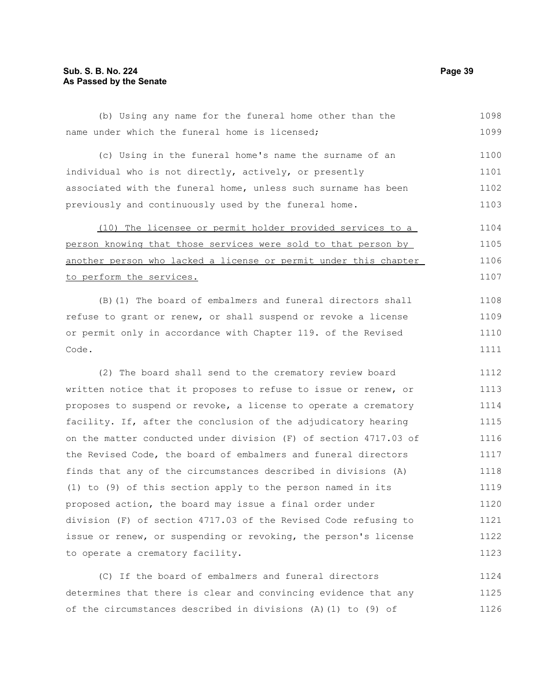### **Sub. S. B. No. 224 Page 39 As Passed by the Senate**

(b) Using any name for the funeral home other than the name under which the funeral home is licensed; (c) Using in the funeral home's name the surname of an individual who is not directly, actively, or presently associated with the funeral home, unless such surname has been previously and continuously used by the funeral home. (10) The licensee or permit holder provided services to a person knowing that those services were sold to that person by 1098 1099 1100 1101 1102 1103 1104 1105

another person who lacked a license or permit under this chapter to perform the services. 1106 1107

(B)(1) The board of embalmers and funeral directors shall refuse to grant or renew, or shall suspend or revoke a license or permit only in accordance with Chapter 119. of the Revised Code.

(2) The board shall send to the crematory review board written notice that it proposes to refuse to issue or renew, or proposes to suspend or revoke, a license to operate a crematory facility. If, after the conclusion of the adjudicatory hearing on the matter conducted under division (F) of section 4717.03 of the Revised Code, the board of embalmers and funeral directors finds that any of the circumstances described in divisions (A) (1) to (9) of this section apply to the person named in its proposed action, the board may issue a final order under division (F) of section 4717.03 of the Revised Code refusing to issue or renew, or suspending or revoking, the person's license to operate a crematory facility. 1112 1113 1114 1115 1116 1117 1118 1119 1120 1121 1122 1123

(C) If the board of embalmers and funeral directors determines that there is clear and convincing evidence that any of the circumstances described in divisions (A)(1) to (9) of 1124 1125 1126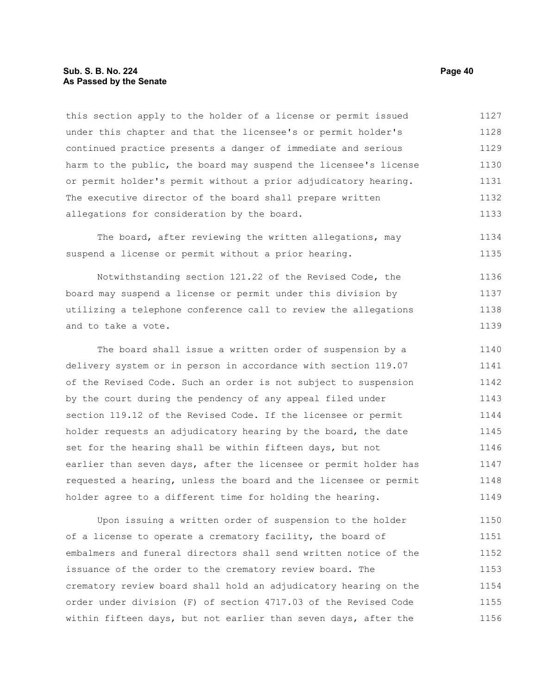#### **Sub. S. B. No. 224 Page 40 As Passed by the Senate**

this section apply to the holder of a license or permit issued under this chapter and that the licensee's or permit holder's continued practice presents a danger of immediate and serious harm to the public, the board may suspend the licensee's license or permit holder's permit without a prior adjudicatory hearing. The executive director of the board shall prepare written allegations for consideration by the board. 1127 1128 1129 1130 1131 1132 1133

The board, after reviewing the written allegations, may suspend a license or permit without a prior hearing. 1134 1135

Notwithstanding section 121.22 of the Revised Code, the board may suspend a license or permit under this division by utilizing a telephone conference call to review the allegations and to take a vote. 1136 1137 1138 1139

The board shall issue a written order of suspension by a delivery system or in person in accordance with section 119.07 of the Revised Code. Such an order is not subject to suspension by the court during the pendency of any appeal filed under section 119.12 of the Revised Code. If the licensee or permit holder requests an adjudicatory hearing by the board, the date set for the hearing shall be within fifteen days, but not earlier than seven days, after the licensee or permit holder has requested a hearing, unless the board and the licensee or permit holder agree to a different time for holding the hearing. 1140 1141 1142 1143 1144 1145 1146 1147 1148 1149

Upon issuing a written order of suspension to the holder of a license to operate a crematory facility, the board of embalmers and funeral directors shall send written notice of the issuance of the order to the crematory review board. The crematory review board shall hold an adjudicatory hearing on the order under division (F) of section 4717.03 of the Revised Code within fifteen days, but not earlier than seven days, after the 1150 1151 1152 1153 1154 1155 1156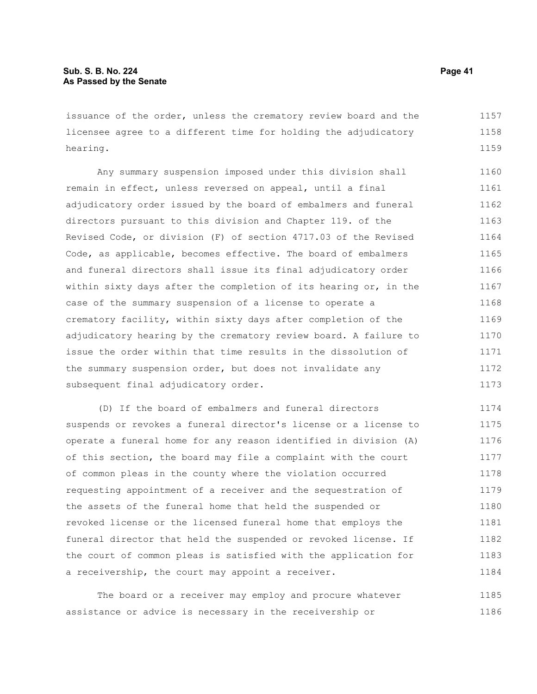issuance of the order, unless the crematory review board and the licensee agree to a different time for holding the adjudicatory hearing. 1157 1158 1159

Any summary suspension imposed under this division shall remain in effect, unless reversed on appeal, until a final adjudicatory order issued by the board of embalmers and funeral directors pursuant to this division and Chapter 119. of the Revised Code, or division (F) of section 4717.03 of the Revised Code, as applicable, becomes effective. The board of embalmers and funeral directors shall issue its final adjudicatory order within sixty days after the completion of its hearing or, in the case of the summary suspension of a license to operate a crematory facility, within sixty days after completion of the adjudicatory hearing by the crematory review board. A failure to issue the order within that time results in the dissolution of the summary suspension order, but does not invalidate any subsequent final adjudicatory order. 1160 1161 1162 1163 1164 1165 1166 1167 1168 1169 1170 1171 1172 1173

(D) If the board of embalmers and funeral directors suspends or revokes a funeral director's license or a license to operate a funeral home for any reason identified in division (A) of this section, the board may file a complaint with the court of common pleas in the county where the violation occurred requesting appointment of a receiver and the sequestration of the assets of the funeral home that held the suspended or revoked license or the licensed funeral home that employs the funeral director that held the suspended or revoked license. If the court of common pleas is satisfied with the application for a receivership, the court may appoint a receiver. 1174 1175 1176 1177 1178 1179 1180 1181 1182 1183 1184

The board or a receiver may employ and procure whatever assistance or advice is necessary in the receivership or 1185 1186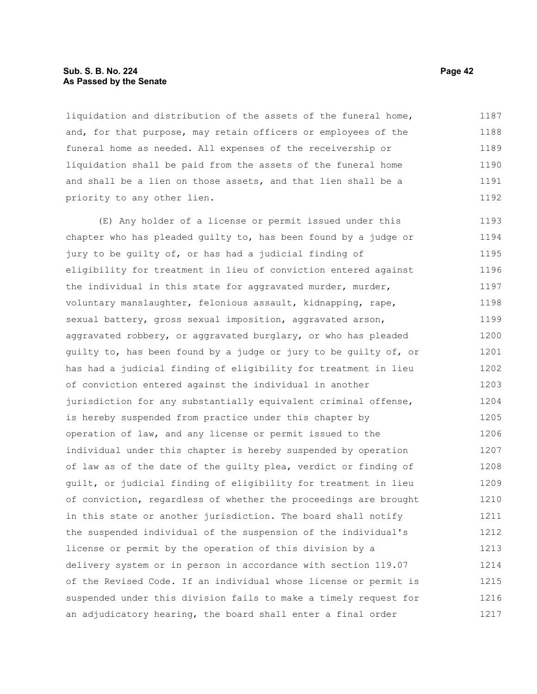#### **Sub. S. B. No. 224 Page 42 As Passed by the Senate**

liquidation and distribution of the assets of the funeral home, and, for that purpose, may retain officers or employees of the funeral home as needed. All expenses of the receivership or liquidation shall be paid from the assets of the funeral home and shall be a lien on those assets, and that lien shall be a priority to any other lien. 1187 1188 1189 1190 1191 1192

(E) Any holder of a license or permit issued under this chapter who has pleaded guilty to, has been found by a judge or jury to be guilty of, or has had a judicial finding of eligibility for treatment in lieu of conviction entered against the individual in this state for aggravated murder, murder, voluntary manslaughter, felonious assault, kidnapping, rape, sexual battery, gross sexual imposition, aggravated arson, aggravated robbery, or aggravated burglary, or who has pleaded guilty to, has been found by a judge or jury to be guilty of, or has had a judicial finding of eligibility for treatment in lieu of conviction entered against the individual in another jurisdiction for any substantially equivalent criminal offense, is hereby suspended from practice under this chapter by operation of law, and any license or permit issued to the individual under this chapter is hereby suspended by operation of law as of the date of the guilty plea, verdict or finding of guilt, or judicial finding of eligibility for treatment in lieu of conviction, regardless of whether the proceedings are brought in this state or another jurisdiction. The board shall notify the suspended individual of the suspension of the individual's license or permit by the operation of this division by a delivery system or in person in accordance with section 119.07 of the Revised Code. If an individual whose license or permit is suspended under this division fails to make a timely request for an adjudicatory hearing, the board shall enter a final order 1193 1194 1195 1196 1197 1198 1199 1200 1201 1202 1203 1204 1205 1206 1207 1208 1209 1210 1211 1212 1213 1214 1215 1216 1217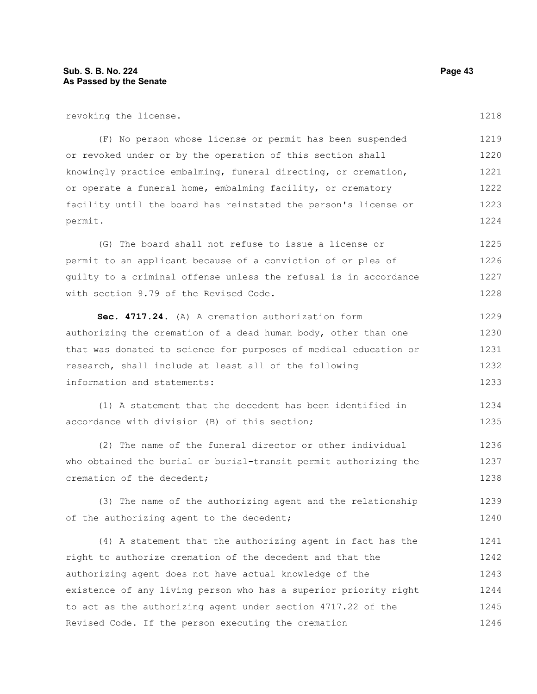revoking the license.

(F) No person whose license or permit has been suspended or revoked under or by the operation of this section shall knowingly practice embalming, funeral directing, or cremation, or operate a funeral home, embalming facility, or crematory facility until the board has reinstated the person's license or permit. 1219 1220 1221 1222 1223 1224

(G) The board shall not refuse to issue a license or permit to an applicant because of a conviction of or plea of guilty to a criminal offense unless the refusal is in accordance with section 9.79 of the Revised Code. 1225 1226 1227 1228

**Sec. 4717.24.** (A) A cremation authorization form authorizing the cremation of a dead human body, other than one that was donated to science for purposes of medical education or research, shall include at least all of the following information and statements: 1229 1230 1231 1232 1233

(1) A statement that the decedent has been identified in accordance with division (B) of this section; 1234 1235

(2) The name of the funeral director or other individual who obtained the burial or burial-transit permit authorizing the cremation of the decedent; 1236 1237 1238

(3) The name of the authorizing agent and the relationship of the authorizing agent to the decedent; 1239 1240

(4) A statement that the authorizing agent in fact has the right to authorize cremation of the decedent and that the authorizing agent does not have actual knowledge of the existence of any living person who has a superior priority right to act as the authorizing agent under section 4717.22 of the Revised Code. If the person executing the cremation 1241 1242 1243 1244 1245 1246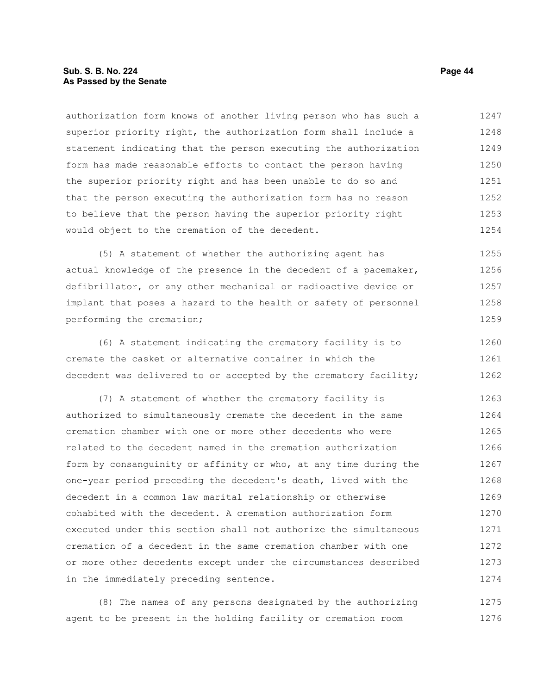#### **Sub. S. B. No. 224 Page 44 As Passed by the Senate**

authorization form knows of another living person who has such a superior priority right, the authorization form shall include a statement indicating that the person executing the authorization form has made reasonable efforts to contact the person having the superior priority right and has been unable to do so and that the person executing the authorization form has no reason to believe that the person having the superior priority right would object to the cremation of the decedent. 1247 1248 1249 1250 1251 1252 1253 1254

(5) A statement of whether the authorizing agent has actual knowledge of the presence in the decedent of a pacemaker, defibrillator, or any other mechanical or radioactive device or implant that poses a hazard to the health or safety of personnel performing the cremation; 1255 1256 1257 1258 1259

(6) A statement indicating the crematory facility is to cremate the casket or alternative container in which the decedent was delivered to or accepted by the crematory facility; 1260 1261 1262

(7) A statement of whether the crematory facility is authorized to simultaneously cremate the decedent in the same cremation chamber with one or more other decedents who were related to the decedent named in the cremation authorization form by consanguinity or affinity or who, at any time during the one-year period preceding the decedent's death, lived with the decedent in a common law marital relationship or otherwise cohabited with the decedent. A cremation authorization form executed under this section shall not authorize the simultaneous cremation of a decedent in the same cremation chamber with one or more other decedents except under the circumstances described in the immediately preceding sentence. 1263 1264 1265 1266 1267 1268 1269 1270 1271 1272 1273 1274

(8) The names of any persons designated by the authorizing agent to be present in the holding facility or cremation room 1275 1276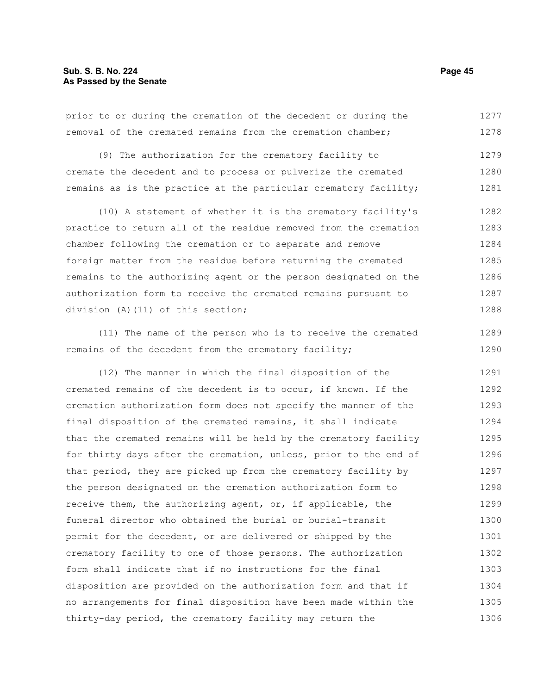prior to or during the cremation of the decedent or during the removal of the cremated remains from the cremation chamber; 1277 1278

(9) The authorization for the crematory facility to cremate the decedent and to process or pulverize the cremated remains as is the practice at the particular crematory facility; 1279 1280 1281

(10) A statement of whether it is the crematory facility's practice to return all of the residue removed from the cremation chamber following the cremation or to separate and remove foreign matter from the residue before returning the cremated remains to the authorizing agent or the person designated on the authorization form to receive the cremated remains pursuant to division (A)(11) of this section; 1282 1283 1284 1285 1286 1287 1288

(11) The name of the person who is to receive the cremated remains of the decedent from the crematory facility;

(12) The manner in which the final disposition of the cremated remains of the decedent is to occur, if known. If the cremation authorization form does not specify the manner of the final disposition of the cremated remains, it shall indicate that the cremated remains will be held by the crematory facility for thirty days after the cremation, unless, prior to the end of that period, they are picked up from the crematory facility by the person designated on the cremation authorization form to receive them, the authorizing agent, or, if applicable, the funeral director who obtained the burial or burial-transit permit for the decedent, or are delivered or shipped by the crematory facility to one of those persons. The authorization form shall indicate that if no instructions for the final disposition are provided on the authorization form and that if no arrangements for final disposition have been made within the thirty-day period, the crematory facility may return the 1291 1292 1293 1294 1295 1296 1297 1298 1299 1300 1301 1302 1303 1304 1305 1306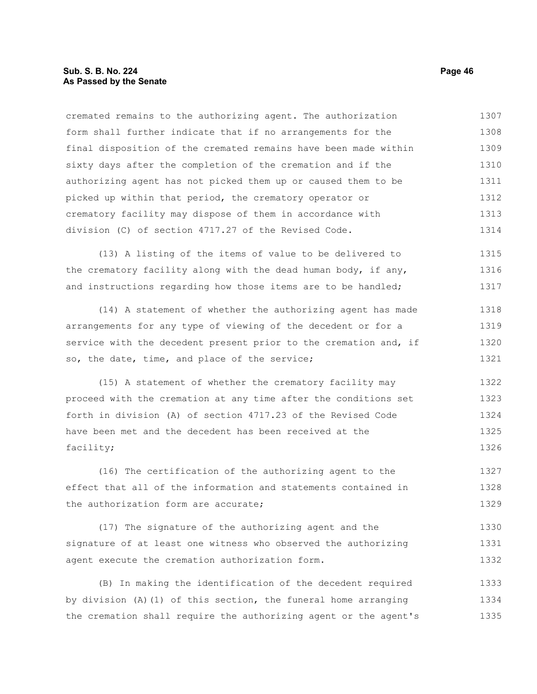#### **Sub. S. B. No. 224 Page 46 As Passed by the Senate**

cremated remains to the authorizing agent. The authorization form shall further indicate that if no arrangements for the final disposition of the cremated remains have been made within sixty days after the completion of the cremation and if the authorizing agent has not picked them up or caused them to be picked up within that period, the crematory operator or crematory facility may dispose of them in accordance with division (C) of section 4717.27 of the Revised Code. 1307 1308 1309 1310 1311 1312 1313 1314

(13) A listing of the items of value to be delivered to the crematory facility along with the dead human body, if any, and instructions regarding how those items are to be handled; 1315 1316 1317

(14) A statement of whether the authorizing agent has made arrangements for any type of viewing of the decedent or for a service with the decedent present prior to the cremation and, if so, the date, time, and place of the service; 1318 1319 1320 1321

(15) A statement of whether the crematory facility may proceed with the cremation at any time after the conditions set forth in division (A) of section 4717.23 of the Revised Code have been met and the decedent has been received at the facility; 1322 1323 1324 1325 1326

(16) The certification of the authorizing agent to the effect that all of the information and statements contained in the authorization form are accurate; 1327 1328 1329

(17) The signature of the authorizing agent and the signature of at least one witness who observed the authorizing agent execute the cremation authorization form. 1330 1331 1332

(B) In making the identification of the decedent required by division (A)(1) of this section, the funeral home arranging the cremation shall require the authorizing agent or the agent's 1333 1334 1335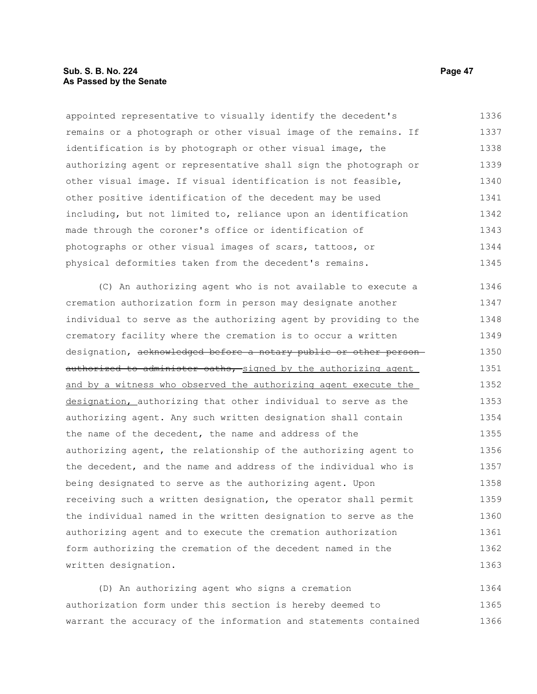#### **Sub. S. B. No. 224 Page 47 As Passed by the Senate**

appointed representative to visually identify the decedent's remains or a photograph or other visual image of the remains. If identification is by photograph or other visual image, the authorizing agent or representative shall sign the photograph or other visual image. If visual identification is not feasible, other positive identification of the decedent may be used including, but not limited to, reliance upon an identification made through the coroner's office or identification of photographs or other visual images of scars, tattoos, or physical deformities taken from the decedent's remains. 1336 1337 1338 1339 1340 1341 1342 1343 1344 1345

(C) An authorizing agent who is not available to execute a cremation authorization form in person may designate another individual to serve as the authorizing agent by providing to the crematory facility where the cremation is to occur a written designation, acknowledged before a notary public or other personauthorized to administer oaths, signed by the authorizing agent and by a witness who observed the authorizing agent execute the designation, authorizing that other individual to serve as the authorizing agent. Any such written designation shall contain the name of the decedent, the name and address of the authorizing agent, the relationship of the authorizing agent to the decedent, and the name and address of the individual who is being designated to serve as the authorizing agent. Upon receiving such a written designation, the operator shall permit the individual named in the written designation to serve as the authorizing agent and to execute the cremation authorization form authorizing the cremation of the decedent named in the written designation. 1346 1347 1348 1349 1350 1351 1352 1353 1354 1355 1356 1357 1358 1359 1360 1361 1362 1363

(D) An authorizing agent who signs a cremation authorization form under this section is hereby deemed to warrant the accuracy of the information and statements contained 1364 1365 1366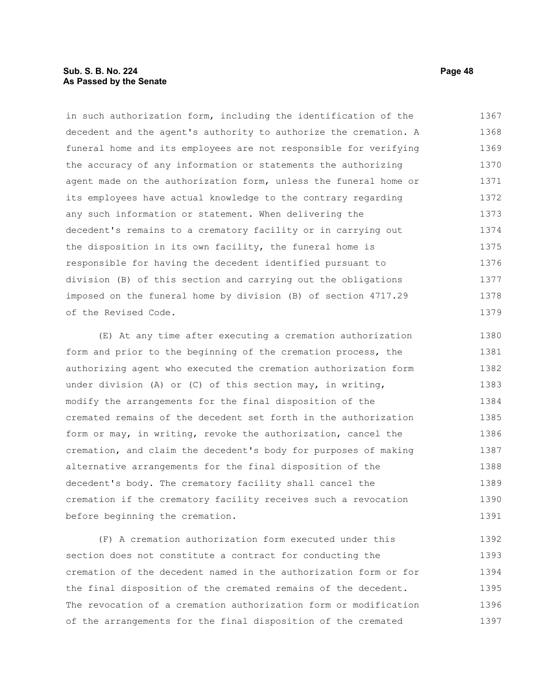#### **Sub. S. B. No. 224 Page 48 As Passed by the Senate**

in such authorization form, including the identification of the decedent and the agent's authority to authorize the cremation. A funeral home and its employees are not responsible for verifying the accuracy of any information or statements the authorizing agent made on the authorization form, unless the funeral home or its employees have actual knowledge to the contrary regarding any such information or statement. When delivering the decedent's remains to a crematory facility or in carrying out the disposition in its own facility, the funeral home is responsible for having the decedent identified pursuant to division (B) of this section and carrying out the obligations imposed on the funeral home by division (B) of section 4717.29 of the Revised Code. 1367 1368 1369 1370 1371 1372 1373 1374 1375 1376 1377 1378 1379

(E) At any time after executing a cremation authorization form and prior to the beginning of the cremation process, the authorizing agent who executed the cremation authorization form under division (A) or (C) of this section may, in writing, modify the arrangements for the final disposition of the cremated remains of the decedent set forth in the authorization form or may, in writing, revoke the authorization, cancel the cremation, and claim the decedent's body for purposes of making alternative arrangements for the final disposition of the decedent's body. The crematory facility shall cancel the cremation if the crematory facility receives such a revocation before beginning the cremation. 1380 1381 1382 1383 1384 1385 1386 1387 1388 1389 1390 1391

(F) A cremation authorization form executed under this section does not constitute a contract for conducting the cremation of the decedent named in the authorization form or for the final disposition of the cremated remains of the decedent. The revocation of a cremation authorization form or modification of the arrangements for the final disposition of the cremated 1392 1393 1394 1395 1396 1397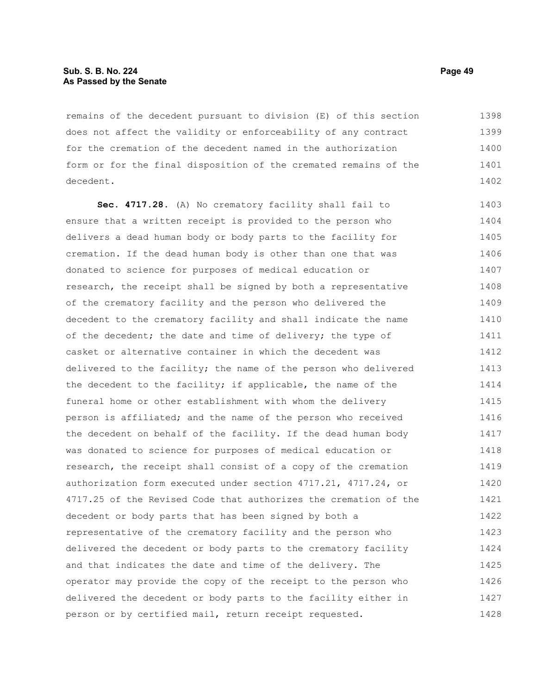#### **Sub. S. B. No. 224 Page 49 As Passed by the Senate**

remains of the decedent pursuant to division (E) of this section does not affect the validity or enforceability of any contract for the cremation of the decedent named in the authorization form or for the final disposition of the cremated remains of the decedent. 1398 1399 1400 1401 1402

**Sec. 4717.28.** (A) No crematory facility shall fail to ensure that a written receipt is provided to the person who delivers a dead human body or body parts to the facility for cremation. If the dead human body is other than one that was donated to science for purposes of medical education or research, the receipt shall be signed by both a representative of the crematory facility and the person who delivered the decedent to the crematory facility and shall indicate the name of the decedent; the date and time of delivery; the type of casket or alternative container in which the decedent was delivered to the facility; the name of the person who delivered the decedent to the facility; if applicable, the name of the funeral home or other establishment with whom the delivery person is affiliated; and the name of the person who received the decedent on behalf of the facility. If the dead human body was donated to science for purposes of medical education or research, the receipt shall consist of a copy of the cremation authorization form executed under section 4717.21, 4717.24, or 4717.25 of the Revised Code that authorizes the cremation of the decedent or body parts that has been signed by both a representative of the crematory facility and the person who delivered the decedent or body parts to the crematory facility and that indicates the date and time of the delivery. The operator may provide the copy of the receipt to the person who delivered the decedent or body parts to the facility either in person or by certified mail, return receipt requested. 1403 1404 1405 1406 1407 1408 1409 1410 1411 1412 1413 1414 1415 1416 1417 1418 1419 1420 1421 1422 1423 1424 1425 1426 1427 1428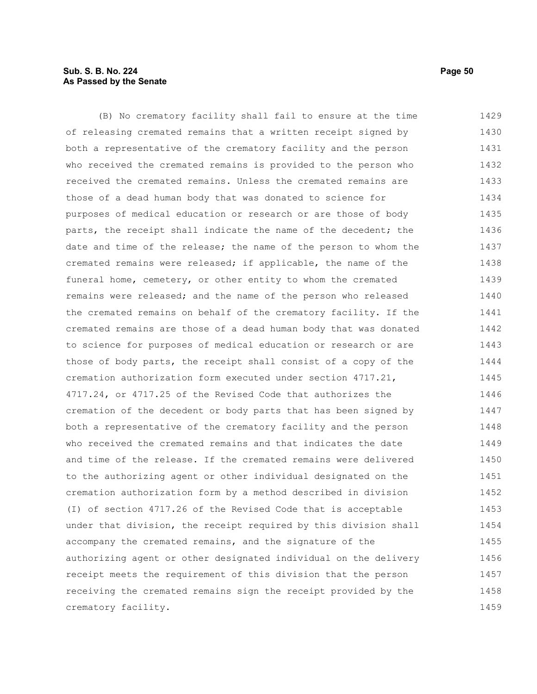### **Sub. S. B. No. 224 Page 50 As Passed by the Senate**

(B) No crematory facility shall fail to ensure at the time of releasing cremated remains that a written receipt signed by both a representative of the crematory facility and the person who received the cremated remains is provided to the person who received the cremated remains. Unless the cremated remains are those of a dead human body that was donated to science for purposes of medical education or research or are those of body parts, the receipt shall indicate the name of the decedent; the date and time of the release; the name of the person to whom the cremated remains were released; if applicable, the name of the funeral home, cemetery, or other entity to whom the cremated remains were released; and the name of the person who released the cremated remains on behalf of the crematory facility. If the cremated remains are those of a dead human body that was donated to science for purposes of medical education or research or are those of body parts, the receipt shall consist of a copy of the cremation authorization form executed under section 4717.21, 4717.24, or 4717.25 of the Revised Code that authorizes the cremation of the decedent or body parts that has been signed by both a representative of the crematory facility and the person who received the cremated remains and that indicates the date and time of the release. If the cremated remains were delivered to the authorizing agent or other individual designated on the cremation authorization form by a method described in division (I) of section 4717.26 of the Revised Code that is acceptable under that division, the receipt required by this division shall accompany the cremated remains, and the signature of the authorizing agent or other designated individual on the delivery receipt meets the requirement of this division that the person receiving the cremated remains sign the receipt provided by the crematory facility. 1429 1430 1431 1432 1433 1434 1435 1436 1437 1438 1439 1440 1441 1442 1443 1444 1445 1446 1447 1448 1449 1450 1451 1452 1453 1454 1455 1456 1457 1458 1459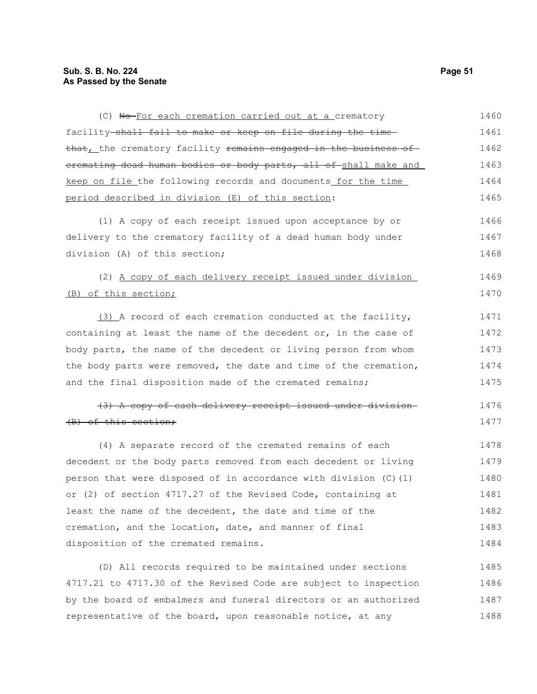| (C) No-For each cremation carried out at a crematory             | 1460 |
|------------------------------------------------------------------|------|
| facility shall fail to make or keep on file during the time      | 1461 |
| that, the crematory facility remains engaged in the business of  | 1462 |
| eremating dead human bodies or body parts, all of shall make and | 1463 |
| keep on file_the following records and documents_for the time_   | 1464 |
| period described in division (E) of this section:                | 1465 |
| (1) A copy of each receipt issued upon acceptance by or          | 1466 |
| delivery to the crematory facility of a dead human body under    | 1467 |
| division (A) of this section;                                    | 1468 |
| (2) A copy of each delivery receipt issued under division        | 1469 |
| (B) of this section;                                             | 1470 |
| (3) A record of each cremation conducted at the facility,        | 1471 |
| containing at least the name of the decedent or, in the case of  | 1472 |
| body parts, the name of the decedent or living person from whom  | 1473 |
| the body parts were removed, the date and time of the cremation, | 1474 |
| and the final disposition made of the cremated remains;          | 1475 |
| (3) A copy of each delivery receipt issued under division-       | 1476 |
| (B) of this section;                                             | 1477 |
| (4) A separate record of the cremated remains of each            | 1478 |
| decedent or the body parts removed from each decedent or living  | 1479 |
| person that were disposed of in accordance with division (C) (1) | 1480 |
| or (2) of section 4717.27 of the Revised Code, containing at     | 1481 |
| least the name of the decedent, the date and time of the         | 1482 |
| cremation, and the location, date, and manner of final           | 1483 |
| disposition of the cremated remains.                             | 1484 |
| (D) All records required to be maintained under sections         | 1485 |
| 4717.21 to 4717.30 of the Revised Code are subject to inspection | 1486 |

4717.21 to 4717.30 of the Revised Code are subject to inspection by the board of embalmers and funeral directors or an authorized representative of the board, upon reasonable notice, at any 1486 1487 1488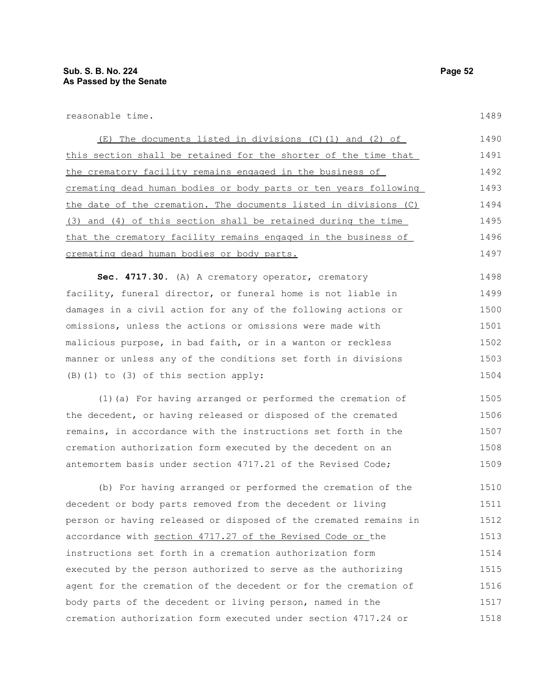reasonable time.

(E) The documents listed in divisions (C)(1) and (2) of this section shall be retained for the shorter of the time that the crematory facility remains engaged in the business of cremating dead human bodies or body parts or ten years following the date of the cremation. The documents listed in divisions (C) (3) and (4) of this section shall be retained during the time that the crematory facility remains engaged in the business of cremating dead human bodies or body parts. 1490 1491 1492 1493 1494 1495 1496 1497

**Sec. 4717.30.** (A) A crematory operator, crematory facility, funeral director, or funeral home is not liable in damages in a civil action for any of the following actions or omissions, unless the actions or omissions were made with malicious purpose, in bad faith, or in a wanton or reckless manner or unless any of the conditions set forth in divisions (B)(1) to (3) of this section apply: 1498 1499 1500 1501 1502 1503 1504

(1)(a) For having arranged or performed the cremation of the decedent, or having released or disposed of the cremated remains, in accordance with the instructions set forth in the cremation authorization form executed by the decedent on an antemortem basis under section 4717.21 of the Revised Code; 1505 1506 1507 1508 1509

(b) For having arranged or performed the cremation of the decedent or body parts removed from the decedent or living person or having released or disposed of the cremated remains in accordance with section 4717.27 of the Revised Code or the instructions set forth in a cremation authorization form executed by the person authorized to serve as the authorizing agent for the cremation of the decedent or for the cremation of body parts of the decedent or living person, named in the cremation authorization form executed under section 4717.24 or 1510 1511 1512 1513 1514 1515 1516 1517 1518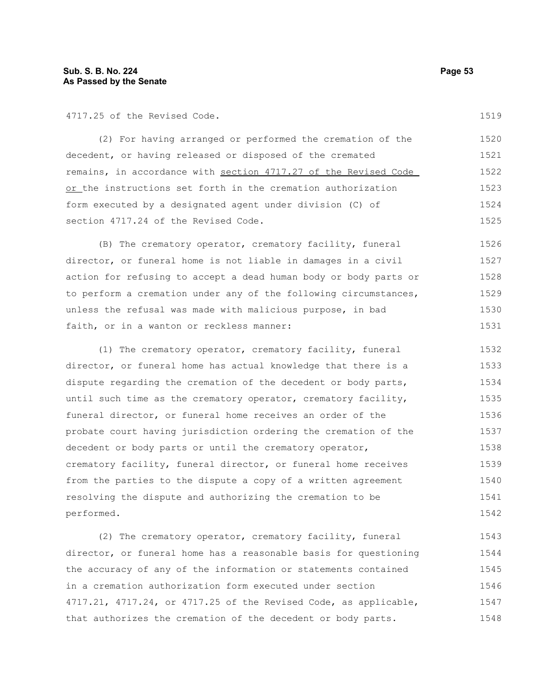4717.25 of the Revised Code.

(2) For having arranged or performed the cremation of the decedent, or having released or disposed of the cremated remains, in accordance with section 4717.27 of the Revised Code or the instructions set forth in the cremation authorization form executed by a designated agent under division (C) of section 4717.24 of the Revised Code. 1520 1521 1522 1523 1524 1525

(B) The crematory operator, crematory facility, funeral director, or funeral home is not liable in damages in a civil action for refusing to accept a dead human body or body parts or to perform a cremation under any of the following circumstances, unless the refusal was made with malicious purpose, in bad faith, or in a wanton or reckless manner: 1526 1527 1528 1529 1530 1531

(1) The crematory operator, crematory facility, funeral director, or funeral home has actual knowledge that there is a dispute regarding the cremation of the decedent or body parts, until such time as the crematory operator, crematory facility, funeral director, or funeral home receives an order of the probate court having jurisdiction ordering the cremation of the decedent or body parts or until the crematory operator, crematory facility, funeral director, or funeral home receives from the parties to the dispute a copy of a written agreement resolving the dispute and authorizing the cremation to be performed. 1532 1533 1534 1535 1536 1537 1538 1539 1540 1541 1542

(2) The crematory operator, crematory facility, funeral director, or funeral home has a reasonable basis for questioning the accuracy of any of the information or statements contained in a cremation authorization form executed under section 4717.21, 4717.24, or 4717.25 of the Revised Code, as applicable, that authorizes the cremation of the decedent or body parts. 1543 1544 1545 1546 1547 1548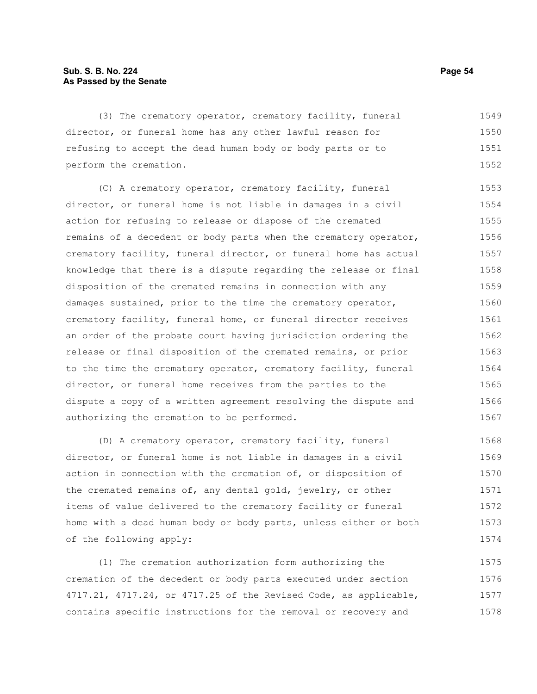### **Sub. S. B. No. 224 Page 54 As Passed by the Senate**

(3) The crematory operator, crematory facility, funeral director, or funeral home has any other lawful reason for refusing to accept the dead human body or body parts or to perform the cremation. 1549 1550 1551 1552

(C) A crematory operator, crematory facility, funeral director, or funeral home is not liable in damages in a civil action for refusing to release or dispose of the cremated remains of a decedent or body parts when the crematory operator, crematory facility, funeral director, or funeral home has actual knowledge that there is a dispute regarding the release or final disposition of the cremated remains in connection with any damages sustained, prior to the time the crematory operator, crematory facility, funeral home, or funeral director receives an order of the probate court having jurisdiction ordering the release or final disposition of the cremated remains, or prior to the time the crematory operator, crematory facility, funeral director, or funeral home receives from the parties to the dispute a copy of a written agreement resolving the dispute and authorizing the cremation to be performed. 1553 1554 1555 1556 1557 1558 1559 1560 1561 1562 1563 1564 1565 1566 1567

(D) A crematory operator, crematory facility, funeral director, or funeral home is not liable in damages in a civil action in connection with the cremation of, or disposition of the cremated remains of, any dental gold, jewelry, or other items of value delivered to the crematory facility or funeral home with a dead human body or body parts, unless either or both of the following apply: 1568 1569 1570 1571 1572 1573 1574

(1) The cremation authorization form authorizing the cremation of the decedent or body parts executed under section 4717.21, 4717.24, or 4717.25 of the Revised Code, as applicable, contains specific instructions for the removal or recovery and 1575 1576 1577 1578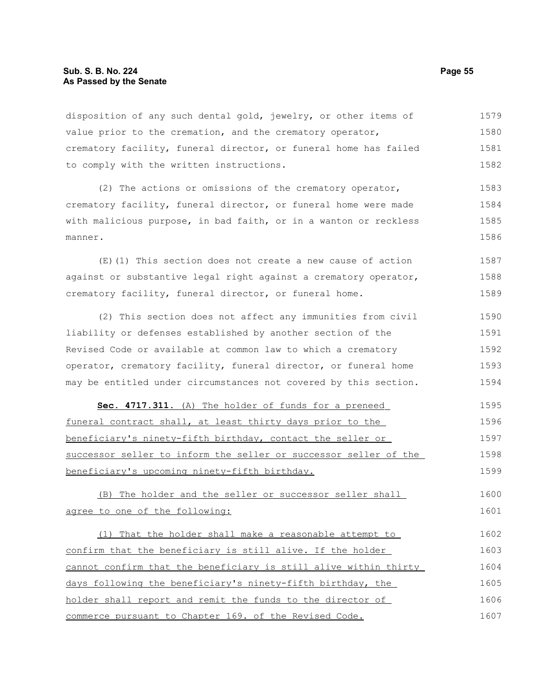#### **Sub. S. B. No. 224 Page 55 As Passed by the Senate**

disposition of any such dental gold, jewelry, or other items of value prior to the cremation, and the crematory operator, crematory facility, funeral director, or funeral home has failed to comply with the written instructions. 1579 1580 1581 1582

(2) The actions or omissions of the crematory operator, crematory facility, funeral director, or funeral home were made with malicious purpose, in bad faith, or in a wanton or reckless manner. 1583 1584 1585 1586

(E)(1) This section does not create a new cause of action against or substantive legal right against a crematory operator, crematory facility, funeral director, or funeral home. 1587 1588 1589

(2) This section does not affect any immunities from civil liability or defenses established by another section of the Revised Code or available at common law to which a crematory operator, crematory facility, funeral director, or funeral home may be entitled under circumstances not covered by this section. 1590 1591 1592 1593 1594

 **Sec. 4717.311.** (A) The holder of funds for a preneed funeral contract shall, at least thirty days prior to the beneficiary's ninety-fifth birthday, contact the seller or successor seller to inform the seller or successor seller of the beneficiary's upcoming ninety-fifth birthday. 1595 1596 1597 1598 1599

(B) The holder and the seller or successor seller shall agree to one of the following: 1600 1601

(1) That the holder shall make a reasonable attempt to confirm that the beneficiary is still alive. If the holder cannot confirm that the beneficiary is still alive within thirty days following the beneficiary's ninety-fifth birthday, the holder shall report and remit the funds to the director of commerce pursuant to Chapter 169. of the Revised Code. 1602 1603 1604 1605 1606 1607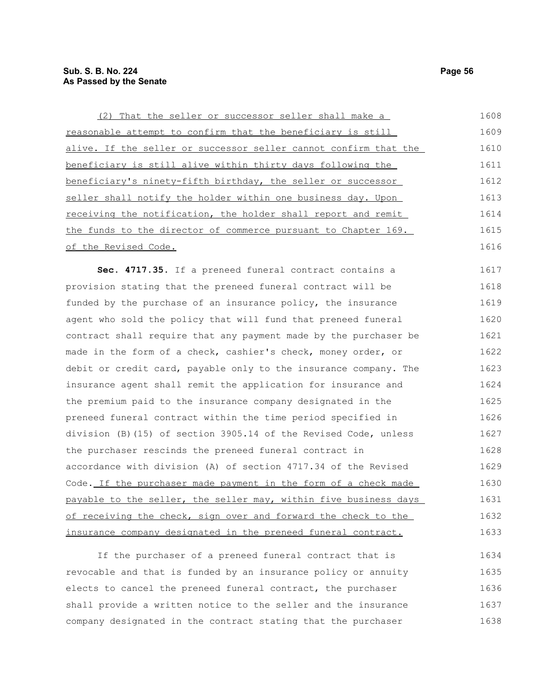| (2) That the seller or successor seller shall make a             | 1608 |
|------------------------------------------------------------------|------|
| reasonable attempt to confirm that the beneficiary is still      | 1609 |
| alive. If the seller or successor seller cannot confirm that the | 1610 |
| beneficiary is still alive within thirty days following the      | 1611 |
| beneficiary's ninety-fifth birthday, the seller or successor     | 1612 |
| seller shall notify the holder within one business day. Upon     | 1613 |
| receiving the notification, the holder shall report and remit    | 1614 |
| the funds to the director of commerce pursuant to Chapter 169.   | 1615 |
| of the Revised Code.                                             | 1616 |
| Sec. 4717.35. If a preneed funeral contract contains a           | 1617 |
| provision stating that the preneed funeral contract will be      | 1618 |
| funded by the purchase of an insurance policy, the insurance     | 1619 |
| agent who sold the policy that will fund that preneed funeral    | 1620 |
| contract shall require that any payment made by the purchaser be | 1621 |
| made in the form of a check, cashier's check, money order, or    | 1622 |
| debit or credit card, payable only to the insurance company. The | 1623 |
| insurance agent shall remit the application for insurance and    | 1624 |
| the premium paid to the insurance company designated in the      | 1625 |
| preneed funeral contract within the time period specified in     | 1626 |
| division (B) (15) of section 3905.14 of the Revised Code, unless | 1627 |
| the purchaser rescinds the preneed funeral contract in           | 1628 |
| accordance with division (A) of section 4717.34 of the Revised   | 1629 |
| Code. If the purchaser made payment in the form of a check made  | 1630 |
| payable to the seller, the seller may, within five business days | 1631 |
| of receiving the check, sign over and forward the check to the   | 1632 |

If the purchaser of a preneed funeral contract that is revocable and that is funded by an insurance policy or annuity elects to cancel the preneed funeral contract, the purchaser shall provide a written notice to the seller and the insurance company designated in the contract stating that the purchaser 1634 1635 1636 1637 1638

insurance company designated in the preneed funeral contract.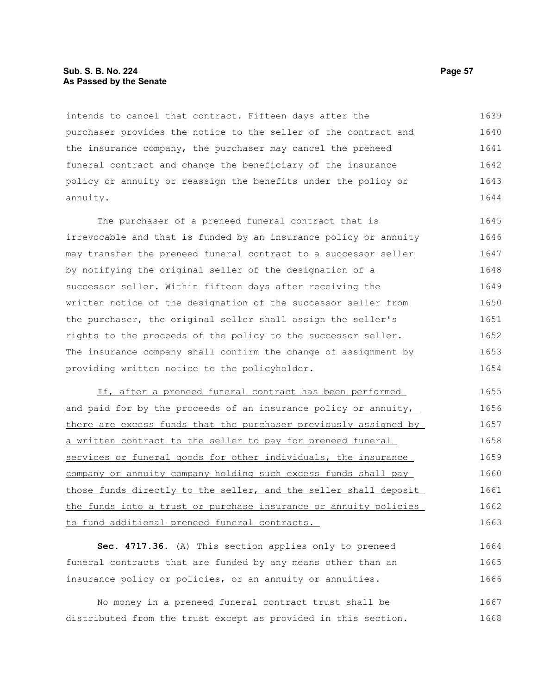#### **Sub. S. B. No. 224 Page 57 As Passed by the Senate**

intends to cancel that contract. Fifteen days after the purchaser provides the notice to the seller of the contract and the insurance company, the purchaser may cancel the preneed funeral contract and change the beneficiary of the insurance policy or annuity or reassign the benefits under the policy or annuity. 1639 1640 1641 1642 1643 1644

The purchaser of a preneed funeral contract that is irrevocable and that is funded by an insurance policy or annuity may transfer the preneed funeral contract to a successor seller by notifying the original seller of the designation of a successor seller. Within fifteen days after receiving the written notice of the designation of the successor seller from the purchaser, the original seller shall assign the seller's rights to the proceeds of the policy to the successor seller. The insurance company shall confirm the change of assignment by providing written notice to the policyholder. 1645 1646 1647 1648 1649 1650 1651 1652 1653 1654

If, after a preneed funeral contract has been performed and paid for by the proceeds of an insurance policy or annuity, there are excess funds that the purchaser previously assigned by a written contract to the seller to pay for preneed funeral services or funeral goods for other individuals, the insurance company or annuity company holding such excess funds shall pay those funds directly to the seller, and the seller shall deposit the funds into a trust or purchase insurance or annuity policies to fund additional preneed funeral contracts. 1655 1656 1657 1658 1659 1660 1661 1662 1663

**Sec. 4717.36.** (A) This section applies only to preneed funeral contracts that are funded by any means other than an insurance policy or policies, or an annuity or annuities. 1664 1665 1666

No money in a preneed funeral contract trust shall be distributed from the trust except as provided in this section. 1667 1668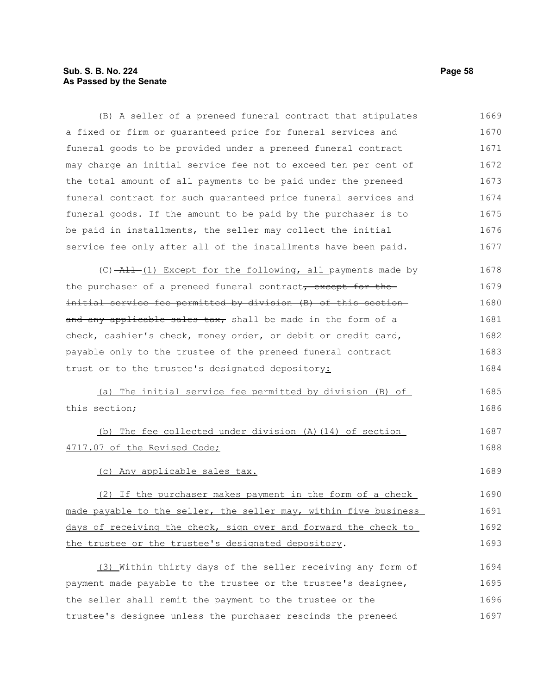# **Sub. S. B. No. 224** Page 58 **As Passed by the Senate**

| (B) A seller of a preneed funeral contract that stipulates                             | 1669 |
|----------------------------------------------------------------------------------------|------|
| a fixed or firm or guaranteed price for funeral services and                           | 1670 |
| funeral goods to be provided under a preneed funeral contract                          | 1671 |
| may charge an initial service fee not to exceed ten per cent of                        | 1672 |
| the total amount of all payments to be paid under the preneed                          | 1673 |
| funeral contract for such quaranteed price funeral services and                        | 1674 |
| funeral goods. If the amount to be paid by the purchaser is to                         | 1675 |
| be paid in installments, the seller may collect the initial                            | 1676 |
| service fee only after all of the installments have been paid.                         | 1677 |
| $(C)$ $\rightarrow$ $\rightarrow$ $(L)$ Except for the following, all payments made by | 1678 |
| the purchaser of a preneed funeral contract, except for the                            | 1679 |
| initial service fee permitted by division (B) of this section-                         | 1680 |
| and any applicable sales tax, shall be made in the form of a                           | 1681 |
| check, cashier's check, money order, or debit or credit card,                          | 1682 |
| payable only to the trustee of the preneed funeral contract                            | 1683 |
| trust or to the trustee's designated depository:                                       | 1684 |
| (a) The initial service fee permitted by division (B) of                               | 1685 |
| this section;                                                                          | 1686 |
| (b) The fee collected under division (A) (14) of section                               | 1687 |
| 4717.07 of the Revised Code;                                                           | 1688 |
| (c) Any applicable sales tax.                                                          | 1689 |
| (2) If the purchaser makes payment in the form of a check                              | 1690 |
| made payable to the seller, the seller may, within five business                       | 1691 |
| days of receiving the check, sign over and forward the check to                        | 1692 |
| the trustee or the trustee's designated depository.                                    | 1693 |
| (3) Within thirty days of the seller receiving any form of                             | 1694 |
| payment made payable to the trustee or the trustee's designee,                         | 1695 |
| the seller shall remit the payment to the trustee or the                               | 1696 |
| trustee's designee unless the purchaser rescinds the preneed                           | 1697 |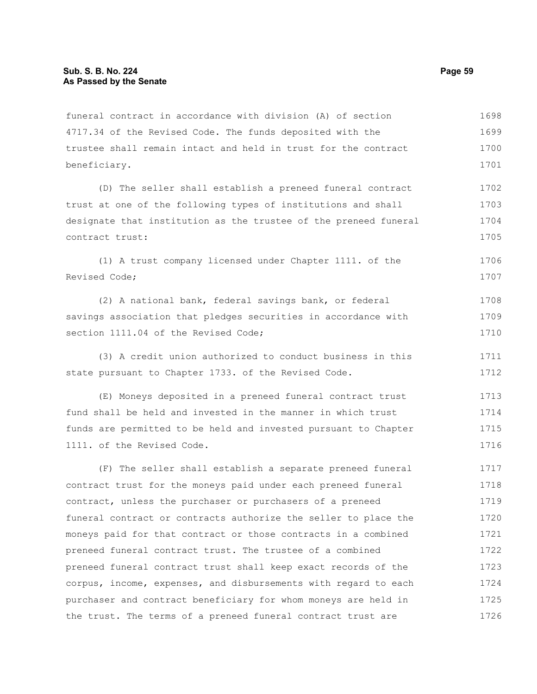funeral contract in accordance with division (A) of section 4717.34 of the Revised Code. The funds deposited with the trustee shall remain intact and held in trust for the contract beneficiary. 1698 1699 1700 1701

(D) The seller shall establish a preneed funeral contract trust at one of the following types of institutions and shall designate that institution as the trustee of the preneed funeral contract trust: 1702 1703 1704 1705

(1) A trust company licensed under Chapter 1111. of the Revised Code; 1706 1707

(2) A national bank, federal savings bank, or federal savings association that pledges securities in accordance with section 1111.04 of the Revised Code; 1708 1709 1710

(3) A credit union authorized to conduct business in this state pursuant to Chapter 1733. of the Revised Code. 1711 1712

(E) Moneys deposited in a preneed funeral contract trust fund shall be held and invested in the manner in which trust funds are permitted to be held and invested pursuant to Chapter 1111. of the Revised Code. 1713 1714 1715 1716

(F) The seller shall establish a separate preneed funeral contract trust for the moneys paid under each preneed funeral contract, unless the purchaser or purchasers of a preneed funeral contract or contracts authorize the seller to place the moneys paid for that contract or those contracts in a combined preneed funeral contract trust. The trustee of a combined preneed funeral contract trust shall keep exact records of the corpus, income, expenses, and disbursements with regard to each purchaser and contract beneficiary for whom moneys are held in the trust. The terms of a preneed funeral contract trust are 1717 1718 1719 1720 1721 1722 1723 1724 1725 1726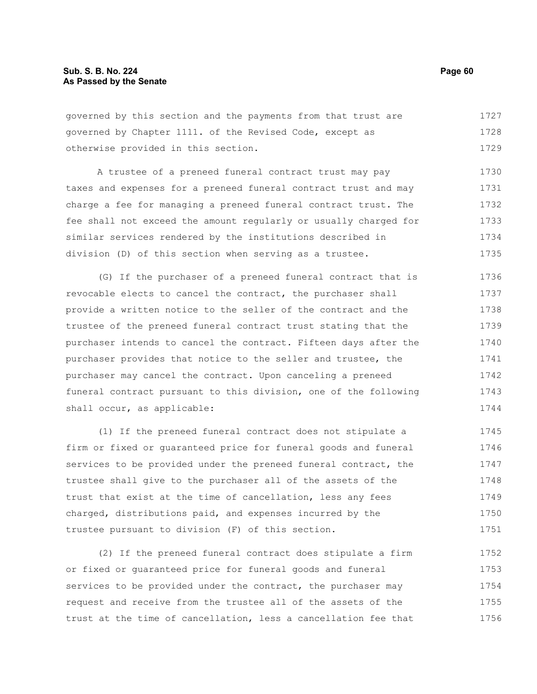governed by this section and the payments from that trust are governed by Chapter 1111. of the Revised Code, except as otherwise provided in this section. 1727 1728 1729

A trustee of a preneed funeral contract trust may pay taxes and expenses for a preneed funeral contract trust and may charge a fee for managing a preneed funeral contract trust. The fee shall not exceed the amount regularly or usually charged for similar services rendered by the institutions described in division (D) of this section when serving as a trustee. 1730 1731 1732 1733 1734 1735

(G) If the purchaser of a preneed funeral contract that is revocable elects to cancel the contract, the purchaser shall provide a written notice to the seller of the contract and the trustee of the preneed funeral contract trust stating that the purchaser intends to cancel the contract. Fifteen days after the purchaser provides that notice to the seller and trustee, the purchaser may cancel the contract. Upon canceling a preneed funeral contract pursuant to this division, one of the following shall occur, as applicable: 1736 1737 1738 1739 1740 1741 1742 1743 1744

(1) If the preneed funeral contract does not stipulate a firm or fixed or guaranteed price for funeral goods and funeral services to be provided under the preneed funeral contract, the trustee shall give to the purchaser all of the assets of the trust that exist at the time of cancellation, less any fees charged, distributions paid, and expenses incurred by the trustee pursuant to division (F) of this section. 1745 1746 1747 1748 1749 1750 1751

(2) If the preneed funeral contract does stipulate a firm or fixed or guaranteed price for funeral goods and funeral services to be provided under the contract, the purchaser may request and receive from the trustee all of the assets of the trust at the time of cancellation, less a cancellation fee that 1752 1753 1754 1755 1756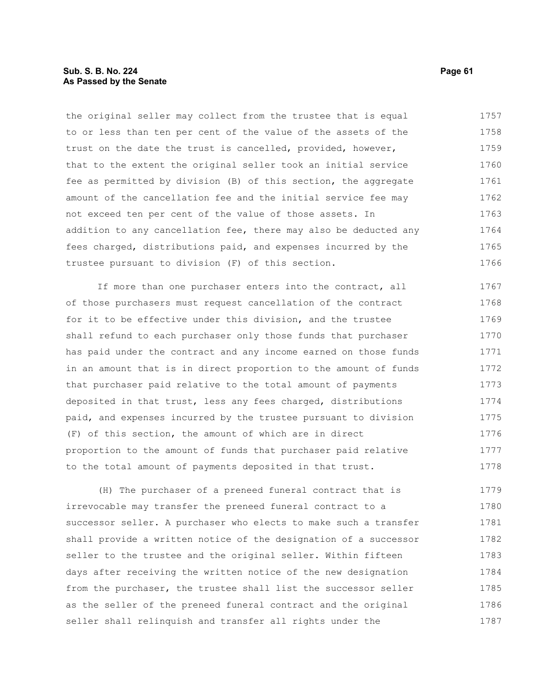#### **Sub. S. B. No. 224 Page 61 As Passed by the Senate**

the original seller may collect from the trustee that is equal to or less than ten per cent of the value of the assets of the trust on the date the trust is cancelled, provided, however, that to the extent the original seller took an initial service fee as permitted by division (B) of this section, the aggregate amount of the cancellation fee and the initial service fee may not exceed ten per cent of the value of those assets. In addition to any cancellation fee, there may also be deducted any fees charged, distributions paid, and expenses incurred by the trustee pursuant to division (F) of this section. 1757 1758 1759 1760 1761 1762 1763 1764 1765 1766

If more than one purchaser enters into the contract, all of those purchasers must request cancellation of the contract for it to be effective under this division, and the trustee shall refund to each purchaser only those funds that purchaser has paid under the contract and any income earned on those funds in an amount that is in direct proportion to the amount of funds that purchaser paid relative to the total amount of payments deposited in that trust, less any fees charged, distributions paid, and expenses incurred by the trustee pursuant to division (F) of this section, the amount of which are in direct proportion to the amount of funds that purchaser paid relative to the total amount of payments deposited in that trust. 1767 1768 1769 1770 1771 1772 1773 1774 1775 1776 1777 1778

(H) The purchaser of a preneed funeral contract that is irrevocable may transfer the preneed funeral contract to a successor seller. A purchaser who elects to make such a transfer shall provide a written notice of the designation of a successor seller to the trustee and the original seller. Within fifteen days after receiving the written notice of the new designation from the purchaser, the trustee shall list the successor seller as the seller of the preneed funeral contract and the original seller shall relinquish and transfer all rights under the 1779 1780 1781 1782 1783 1784 1785 1786 1787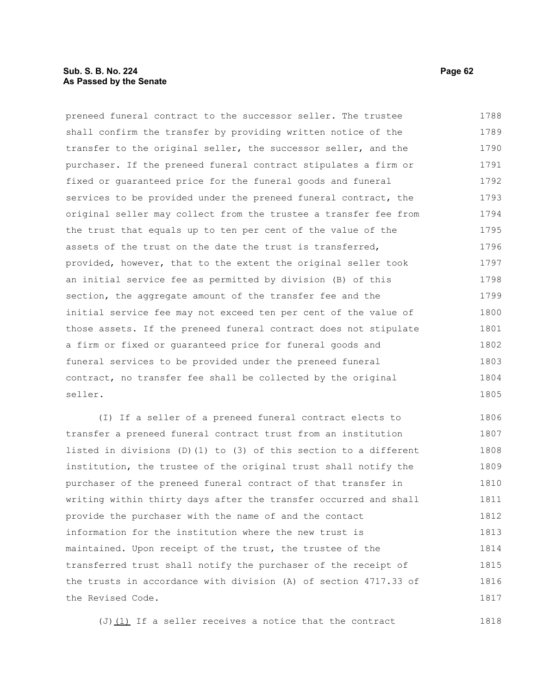#### **Sub. S. B. No. 224 Page 62 As Passed by the Senate**

preneed funeral contract to the successor seller. The trustee shall confirm the transfer by providing written notice of the transfer to the original seller, the successor seller, and the purchaser. If the preneed funeral contract stipulates a firm or fixed or guaranteed price for the funeral goods and funeral services to be provided under the preneed funeral contract, the original seller may collect from the trustee a transfer fee from the trust that equals up to ten per cent of the value of the assets of the trust on the date the trust is transferred, provided, however, that to the extent the original seller took an initial service fee as permitted by division (B) of this section, the aggregate amount of the transfer fee and the initial service fee may not exceed ten per cent of the value of those assets. If the preneed funeral contract does not stipulate a firm or fixed or guaranteed price for funeral goods and funeral services to be provided under the preneed funeral contract, no transfer fee shall be collected by the original seller. 1788 1789 1790 1791 1792 1793 1794 1795 1796 1797 1798 1799 1800 1801 1802 1803 1804 1805

(I) If a seller of a preneed funeral contract elects to transfer a preneed funeral contract trust from an institution listed in divisions (D)(1) to (3) of this section to a different institution, the trustee of the original trust shall notify the purchaser of the preneed funeral contract of that transfer in writing within thirty days after the transfer occurred and shall provide the purchaser with the name of and the contact information for the institution where the new trust is maintained. Upon receipt of the trust, the trustee of the transferred trust shall notify the purchaser of the receipt of the trusts in accordance with division (A) of section 4717.33 of the Revised Code. 1806 1807 1808 1809 1810 1811 1812 1813 1814 1815 1816 1817

(J) $(1)$  If a seller receives a notice that the contract 1818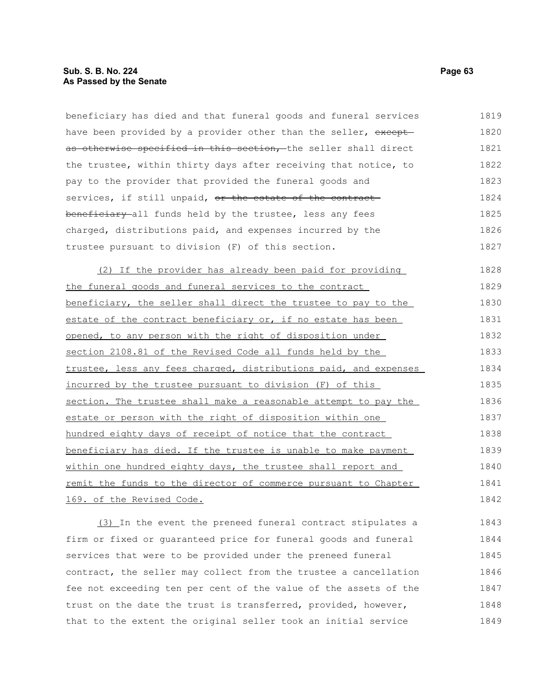beneficiary has died and that funeral goods and funeral services have been provided by a provider other than the seller, exceptas otherwise specified in this section, the seller shall direct the trustee, within thirty days after receiving that notice, to pay to the provider that provided the funeral goods and services, if still unpaid, or the estate of the contractbeneficiary all funds held by the trustee, less any fees charged, distributions paid, and expenses incurred by the trustee pursuant to division (F) of this section. 1819 1820 1821 1822 1823 1824 1825 1826 1827

(2) If the provider has already been paid for providing the funeral goods and funeral services to the contract beneficiary, the seller shall direct the trustee to pay to the estate of the contract beneficiary or, if no estate has been opened, to any person with the right of disposition under section 2108.81 of the Revised Code all funds held by the trustee, less any fees charged, distributions paid, and expenses incurred by the trustee pursuant to division (F) of this section. The trustee shall make a reasonable attempt to pay the estate or person with the right of disposition within one hundred eighty days of receipt of notice that the contract beneficiary has died. If the trustee is unable to make payment within one hundred eighty days, the trustee shall report and remit the funds to the director of commerce pursuant to Chapter 169. of the Revised Code. 1828 1829 1830 1831 1832 1833 1834 1835 1836 1837 1838 1839 1840 1841 1842

(3) In the event the preneed funeral contract stipulates a firm or fixed or guaranteed price for funeral goods and funeral services that were to be provided under the preneed funeral contract, the seller may collect from the trustee a cancellation fee not exceeding ten per cent of the value of the assets of the trust on the date the trust is transferred, provided, however, that to the extent the original seller took an initial service 1843 1844 1845 1846 1847 1848 1849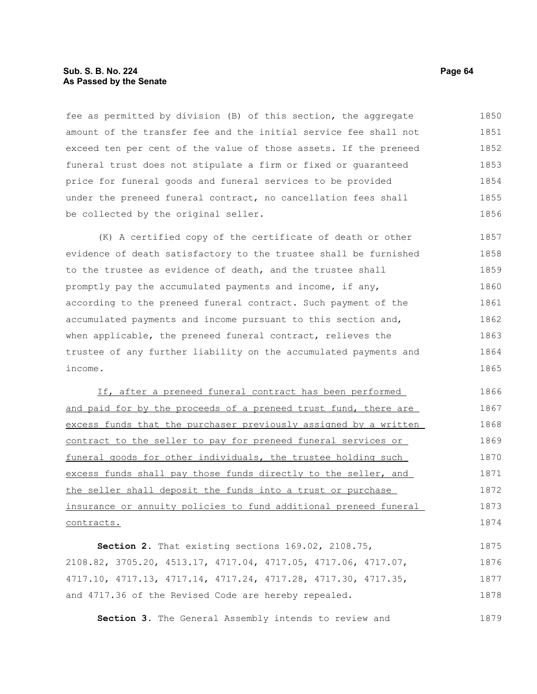#### **Sub. S. B. No. 224 Page 64 As Passed by the Senate**

fee as permitted by division (B) of this section, the aggregate amount of the transfer fee and the initial service fee shall not exceed ten per cent of the value of those assets. If the preneed funeral trust does not stipulate a firm or fixed or guaranteed price for funeral goods and funeral services to be provided under the preneed funeral contract, no cancellation fees shall be collected by the original seller. 1850 1851 1852 1853 1854 1855 1856

(K) A certified copy of the certificate of death or other evidence of death satisfactory to the trustee shall be furnished to the trustee as evidence of death, and the trustee shall promptly pay the accumulated payments and income, if any, according to the preneed funeral contract. Such payment of the accumulated payments and income pursuant to this section and, when applicable, the preneed funeral contract, relieves the trustee of any further liability on the accumulated payments and income. 1857 1858 1859 1860 1861 1862 1863 1864 1865

If, after a preneed funeral contract has been performed and paid for by the proceeds of a preneed trust fund, there are excess funds that the purchaser previously assigned by a written contract to the seller to pay for preneed funeral services or funeral goods for other individuals, the trustee holding such excess funds shall pay those funds directly to the seller, and the seller shall deposit the funds into a trust or purchase insurance or annuity policies to fund additional preneed funeral contracts. 1866 1867 1868 1869 1870 1871 1872 1873 1874

**Section 2.** That existing sections 169.02, 2108.75, 2108.82, 3705.20, 4513.17, 4717.04, 4717.05, 4717.06, 4717.07, 4717.10, 4717.13, 4717.14, 4717.24, 4717.28, 4717.30, 4717.35, and 4717.36 of the Revised Code are hereby repealed. 1875 1876 1877 1878

**Section 3.** The General Assembly intends to review and 1879